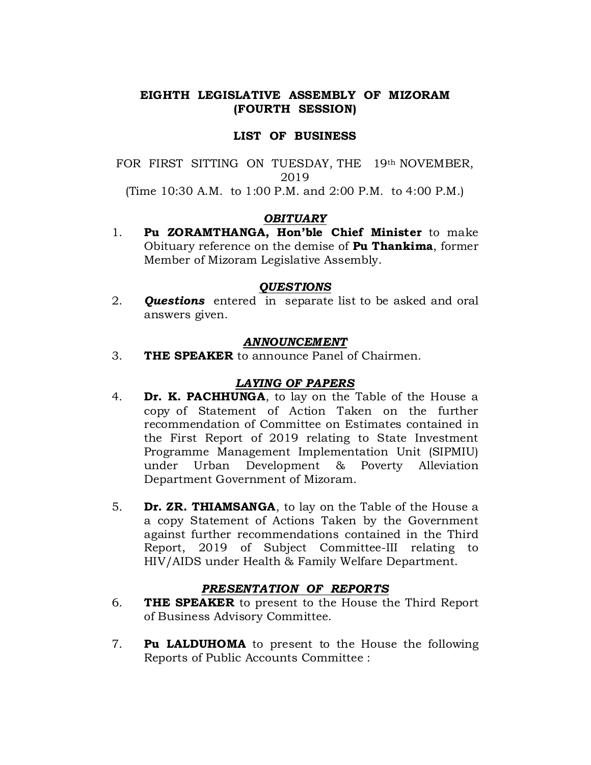# EIGHTH LEGISLATIVE ASSEMBLY OF MIZORAM (FOURTH SESSION)

## LIST OF BUSINESS

FOR FIRST SITTING ON TUESDAY, THE 19th NOVEMBER, 2019 (Time 10:30 A.M. to 1:00 P.M. and 2:00 P.M. to 4:00 P.M.)

### **OBITUARY**

1. Pu ZORAMTHANGA, Hon'ble Chief Minister to make Obituary reference on the demise of Pu Thankima, former Member of Mizoram Legislative Assembly.

### **OUESTIONS**

2. **Questions** entered in separate list to be asked and oral answers given.

### ANNOUNCEMENT

3. THE SPEAKER to announce Panel of Chairmen.

## **LAYING OF PAPERS**

- 4. **Dr. K. PACHHUNGA**, to lay on the Table of the House a copyof Statement of Action Taken on the further recommendation of Committee on Estimates contained in the First Report of 2019 relating to State Investment Programme Management Implementation Unit (SIPMIU) under Urban Development & Poverty Alleviation Department Government of Mizoram.
- 5. **Dr. ZR. THIAMSANGA**, to lay on the Table of the House a a copy Statement of Actions Taken by the Government against further recommendations contained in the Third Report, 2019 of Subject Committee-III relating to HIV/AIDS under Health & Family Welfare Department.

### PRESENTATION OF REPORTS

- 6. **THE SPEAKER** to present to the House the Third Report of Business Advisory Committee.
- 7. Pu LALDUHOMA to present to the House the following Reports of Public Accounts Committee: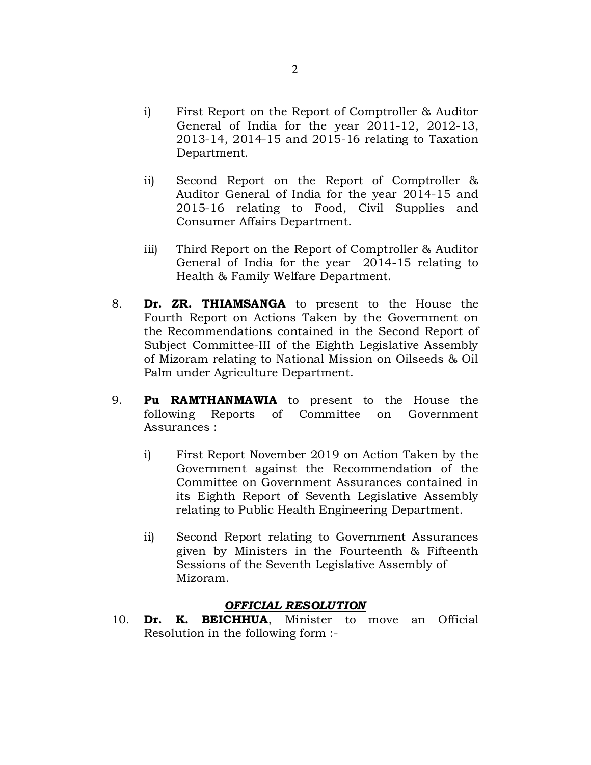- i) First Report on the Report of Comptroller  $\&$  Auditor General of India for the year 2011-12, 2012-13, 2013-14, 2014-15 and 2015-16 relating to Taxation Department.
- ii) Second Report on the Report of Comptroller & Auditor General of India for the year 2014-15 and 2015-16 relating to Food, Civil Supplies and Consumer Affairs Department.
- iii) Third Report on the Report of Comptroller  $&$  Auditor General of India for the year 2014-15 relating to Health & Family Welfare Department.
- 8. **Dr. ZR. THIAMSANGA** to present to the House the Fourth Report on Actions Taken by the Government on the Recommendations contained in the Second Report of Subject Committee-III of the Eighth Legislative Assembly of Mizoram relating to National Mission on Oilseeds & Oil Palm under Agriculture Department.
- 9. Pu RAMTHANMAWIA to present to the House the following Reports of Committee on Government Assurances:
	- i) First Report November 2019 on Action Taken by the Government against the Recommendation of the Committee on Government Assurances contained in its Eighth Report of Seventh Legislative Assembly relating to Public Health Engineering Department.
	- ii) Second Report relating to Government Assurances given by Ministers in the Fourteenth & Fifteenth Sessions of the Seventh Legislative Assembly of Mizoram.

## **OFFICIAL RESOLUTION**

10. Dr. K. BEICHHUA, Minister to move an Official Resolution in the following form :-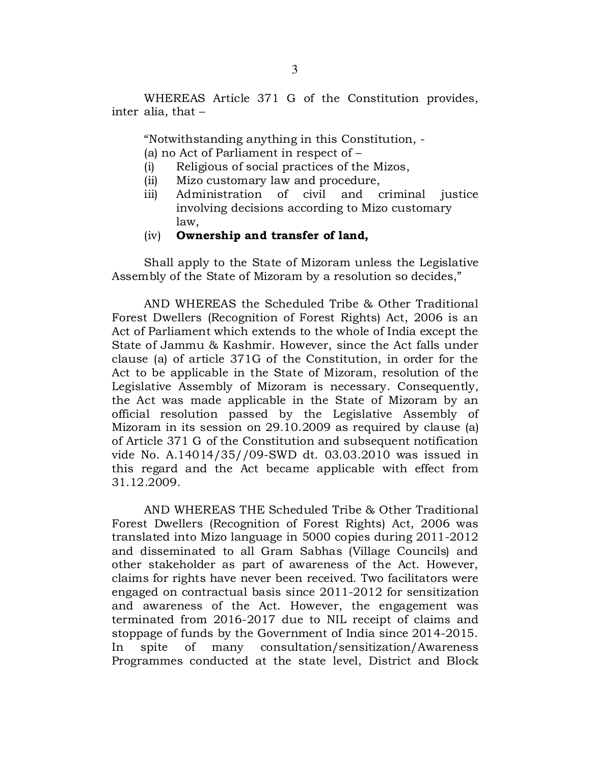WHEREAS Article 371 G of the Constitution provides, inter alia, that  $-$ 

"Notwithstanding anything in this Constitution, -

(a) no Act of Parliament in respect of  $-$ 

- $(i)$  Religious of social practices of the Mizos,
- (ii) Mizo customary law and procedure,
- iii) Administration of civil and criminal justice involving decisions according to Mizo customary law,

#### $(iv)$  Ownership and transfer of land,

Shall apply to the State of Mizoram unless the Legislative Assembly of the State of Mizoram by a resolution so decides,"

AND WHEREAS the Scheduled Tribe & Other Traditional Forest Dwellers (Recognition of Forest Rights) Act, 2006 is an Act of Parliament which extends to the whole of India except the State of Jammu & Kashmir. However, since the Act falls under clause (a) of article 371G of the Constitution, in order for the Act to be applicable in the State of Mizoram, resolution of the Legislative Assembly of Mizoram is necessary. Consequently, the Act was made applicable in the State of Mizoram by an official resolution passed by the Legislative Assembly of Mizoram in its session on  $29.10.2009$  as required by clause (a) of Article 371 G of the Constitution and subsequent notification vide No. A.14014/35//09-SWD dt. 03.03.2010 was issued in this regard and the Act became applicable with effect from 31.12.2009.

AND WHEREAS THE Scheduled Tribe & Other Traditional Forest Dwellers (Recognition of Forest Rights) Act, 2006 was translated into Mizo language in 5000 copies during 2011-2012 and disseminated to all Gram Sabhas (Village Councils) and other stakeholder as part of awareness of the Act. However, claims for rights have never been received. Two facilitators were engaged on contractual basis since  $2011-2012$  for sensitization and awareness of the Act. However, the engagement was terminated from 2016-2017 due to NIL receipt of claims and stoppage of funds by the Government of India since 2014-2015. In spite of many consultation/sensitization/Awareness Programmes conducted at the state level, District and Block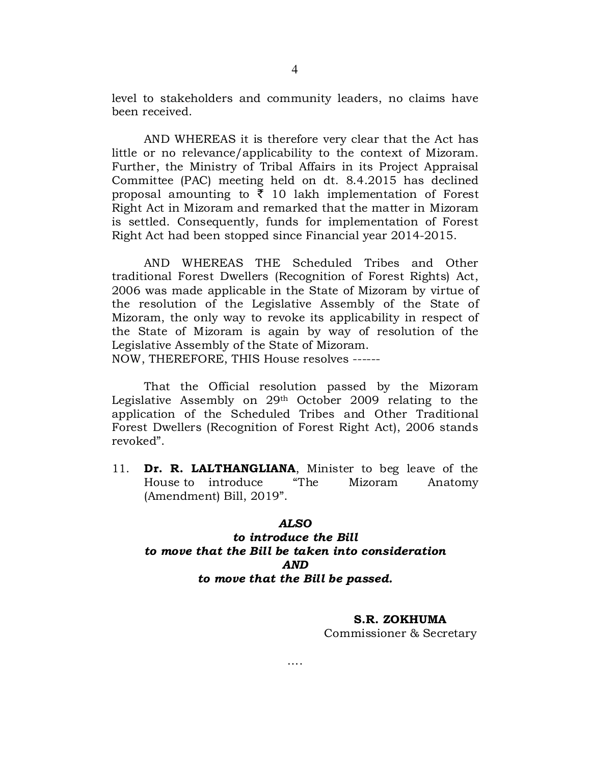level to stakeholders and community leaders, no claims have been received.

AND WHEREAS it is therefore very clear that the Act has little or no relevance/applicability to the context of Mizoram. Further, the Ministry of Tribal Affairs in its Project Appraisal Committee (PAC) meeting held on dt. 8.4.2015 has declined proposal amounting to  $\overline{\xi}$  10 lakh implementation of Forest Right Act in Mizoram and remarked that the matter in Mizoram is settled. Consequently, funds for implementation of Forest Right Act had been stopped since Financial year 2014-2015.

 AND WHEREAS THE Scheduled Tribes and Other traditional Forest Dwellers (Recognition of Forest Rights) Act, 2006 was made applicable in the State of Mizoram by virtue of the resolution of the Legislative Assembly of the State of Mizoram, the only way to revoke its applicability in respect of the State of Mizoram is again by way of resolution of the Legislative Assembly of the State of Mizoram.

NOW, THEREFORE, THIS House resolves ------

 That the Official resolution passed by the Mizoram Legislative Assembly on 29th October 2009 relating to the application of the Scheduled Tribes and Other Traditional Forest Dwellers (Recognition of Forest Right Act), 2006 stands revoked".

11. Dr. R. LALTHANGLIANA, Minister to beg leave of the Houseto introduce "The Mizoram Anatomy  $(Amendment)$  Bill, 2019".

#### ALSO

# to introduce the Bill to move that the Bill be taken into consideration AND to move that the Bill be passed.

….

#### S.R. ZOKHUMA

Commissioner&Secretary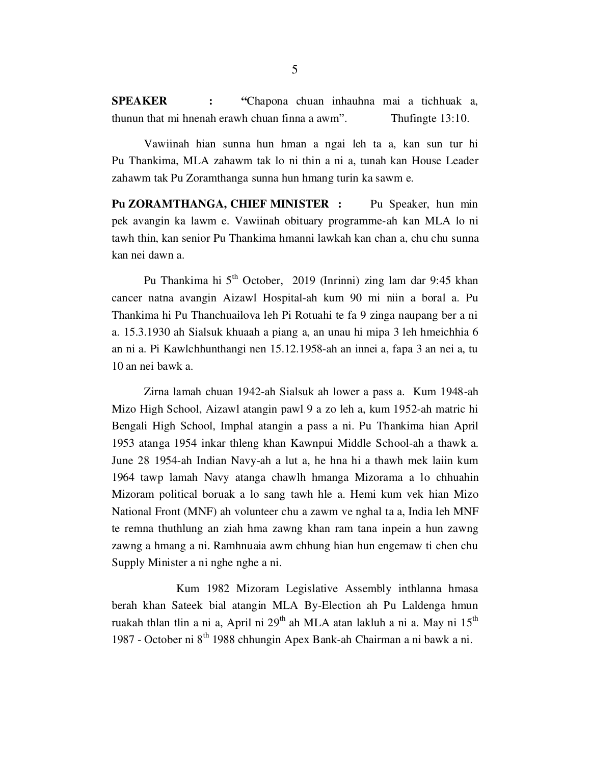SPEAKER : "Chapona chuan inhauhna mai a tichhuak a, thunun that mi hnenah erawh chuan finna a awm". Thufingte 13:10.

 Vawiinah hian sunna hun hman a ngai leh ta a, kan sun tur hi Pu Thankima, MLA zahawm tak lo ni thin a ni a, tunah kan House Leader zahawm tak Pu Zoramthanga sunna hun hmang turin ka sawm e.

Pu ZORAMTHANGA, CHIEF MINISTER : Pu Speaker, hun min pek avangin ka lawm e. Vawiinah obituary programme-ah kan MLA lo ni tawh thin, kan senior Pu Thankima hmanni lawkah kan chan a, chu chu sunna kan nei dawn a.

Pu Thankima hi 5<sup>th</sup> October, 2019 (Inrinni) zing lam dar 9:45 khan cancer natna avangin Aizawl Hospital-ah kum 90 mi niin a boral a. Pu Thankima hi Pu Thanchuailova leh Pi Rotuahi te fa 9 zinga naupang ber a ni a. 15.3.1930 ah Sialsuk khuaah a piang a, an unau hi mipa 3 leh hmeichhia 6 an ni a. Pi Kawlchhunthangi nen 15.12.1958-ah an innei a, fapa 3 an nei a, tu 10 an nei bawk a.

 Zirna lamah chuan 1942-ah Sialsuk ah lower a pass a. Kum 1948-ah Mizo High School, Aizawl atangin pawl 9 a zo leh a, kum 1952-ah matric hi Bengali High School, Imphal atangin a pass a ni. Pu Thankima hian April 1953 atanga 1954 inkar thleng khan Kawnpui Middle School-ah a thawk a. June 28 1954-ah Indian Navy-ah a lut a, he hna hi a thawh mek laiin kum 1964 tawp lamah Navy atanga chawlh hmanga Mizorama a lo chhuahin Mizoram political boruak a lo sang tawh hle a. Hemi kum vek hian Mizo National Front (MNF) ah volunteer chu a zawm ve nghal ta a, India leh MNF te remna thuthlung an ziah hma zawng khan ram tana inpein a hun zawng zawng a hmang a ni. Ramhnuaia awm chhung hian hun engemaw ti chen chu Supply Minister a ni nghe nghe a ni.

 Kum 1982 Mizoram Legislative Assembly inthlanna hmasa berah khan Sateek bial atangin MLA By-Election ah Pu Laldenga hmun ruakah thlan tlin a ni a, April ni  $29<sup>th</sup>$  ah MLA atan lakluh a ni a. May ni  $15<sup>th</sup>$ 1987 - October ni 8th 1988 chhungin Apex Bank-ah Chairman a ni bawk a ni.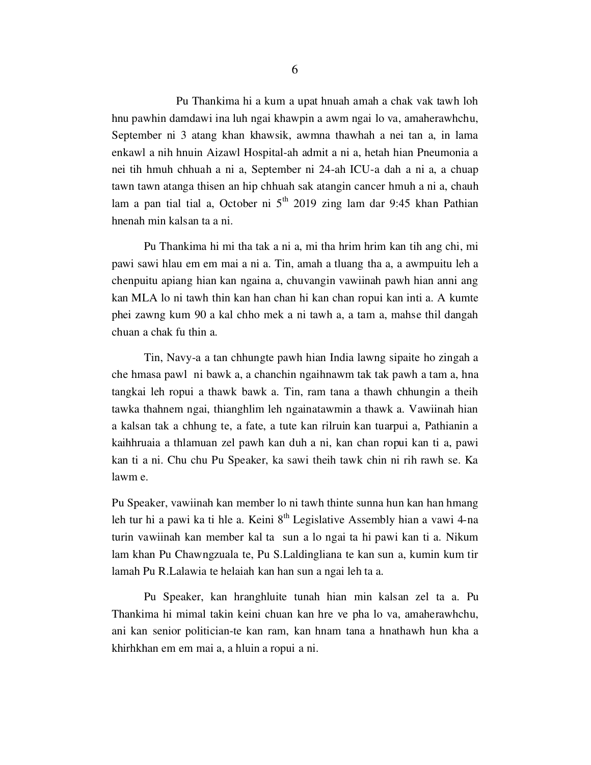Pu Thankima hi a kum a upat hnuah amah a chak vak tawh loh hnu pawhin damdawi ina luh ngai khawpin a awm ngai lo va, amaherawhchu, September ni 3 atang khan khawsik, awmna thawhah a nei tan a, in lama enkawl a nih hnuin Aizawl Hospital-ah admit a ni a, hetah hian Pneumonia a nei tih hmuh chhuah a ni a, September ni 24-ah ICU-a dah a ni a, a chuap tawn tawn atanga thisen an hip chhuah sak atangin cancer hmuh a ni a, chauh lam a pan tial tial a, October ni  $5<sup>th</sup>$  2019 zing lam dar 9:45 khan Pathian hnenah min kalsan ta a ni.

 Pu Thankima hi mi tha tak a ni a, mi tha hrim hrim kan tih ang chi, mi pawi sawi hlau em em mai a ni a. Tin, amah a tluang tha a, a awmpuitu leh a chenpuitu apiang hian kan ngaina a, chuvangin vawiinah pawh hian anni ang kan MLA lo ni tawh thin kan han chan hi kan chan ropui kan inti a. A kumte phei zawng kum 90 a kal chho mek a ni tawh a, a tam a, mahse thil dangah chuan a chak fu thin a.

 Tin, Navy-a a tan chhungte pawh hian India lawng sipaite ho zingah a che hmasa pawl ni bawk a, a chanchin ngaihnawm tak tak pawh a tam a, hna tangkai leh ropui a thawk bawk a. Tin, ram tana a thawh chhungin a theih tawka thahnem ngai, thianghlim leh ngainatawmin a thawk a. Vawiinah hian a kalsan tak a chhung te, a fate, a tute kan rilruin kan tuarpui a, Pathianin a kaihhruaia a thlamuan zel pawh kan duh a ni, kan chan ropui kan ti a, pawi kan ti a ni. Chu chu Pu Speaker, ka sawi theih tawk chin ni rih rawh se. Ka lawm e.

Pu Speaker, vawiinah kan member lo ni tawh thinte sunna hun kan han hmang leh tur hi a pawi ka ti hle a. Keini  $8<sup>th</sup>$  Legislative Assembly hian a vawi 4-na turin vawiinah kan member kal ta sun a lo ngai ta hi pawi kan ti a. Nikum lam khan Pu Chawngzuala te, Pu S.Laldingliana te kan sun a, kumin kum tir lamah Pu R.Lalawia te helaiah kan han sun a ngai leh ta a.

 Pu Speaker, kan hranghluite tunah hian min kalsan zel ta a. Pu Thankima hi mimal takin keini chuan kan hre ve pha lo va, amaherawhchu, ani kan senior politician-te kan ram, kan hnam tana a hnathawh hun kha a khirhkhan em em mai a, a hluin a ropui a ni.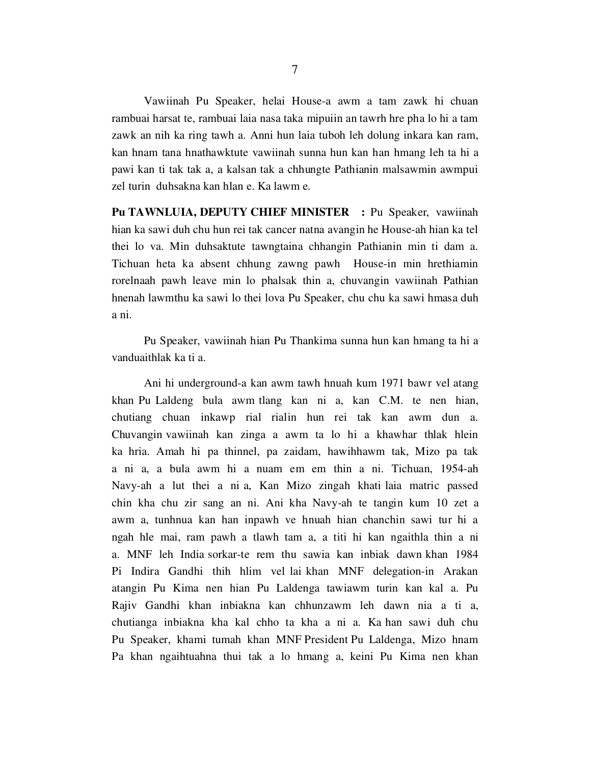Vawiinah Pu Speaker, helai House-a awm a tam zawk hi chuan rambuai harsat te, rambuai laia nasa taka mipuiin an tawrh hre pha lo hi a tam zawk an nih ka ring tawh a. Anni hun laia tuboh leh dolung inkara kan ram, kan hnam tana hnathawktute vawiinah sunna hun kan han hmang leh ta hi a pawi kan ti tak tak a, a kalsan tak a chhungte Pathianin malsawmin awmpui zel turin duhsakna kan hlan e. Ka lawm e.

Pu TAWNLUIA, DEPUTY CHIEF MINISTER : Pu Speaker, vawiinah hian ka sawi duh chu hun rei tak cancer natna avangin he House-ah hian ka tel thei lo va. Min duhsaktute tawngtaina chhangin Pathianin min ti dam a. Tichuan heta ka absent chhung zawng pawh House-in min hrethiamin rorelnaah pawh leave min lo phalsak thin a, chuvangin vawiinah Pathian hnenah lawmthu ka sawi lo thei lova Pu Speaker, chu chu ka sawi hmasa duh a ni.

 Pu Speaker, vawiinah hian Pu Thankima sunna hun kan hmang ta hi a vanduaithlak ka ti a.

 Ani hi underground-a kan awm tawh hnuah kum 1971 bawr vel atang khan Pu Laldeng bula awm tlang kan ni a, kan C.M. te nen hian, chutiang chuan inkawp rial rialin hun rei tak kan awm dun a. Chuvangin vawiinah kan zinga a awm ta lo hi a khawhar thlak hlein ka hria. Amah hi pa thinnel, pa zaidam, hawihhawm tak, Mizo pa tak a ni a, a bula awm hi a nuam em em thin a ni. Tichuan, 1954-ah Navy-ah a lut thei a ni a, Kan Mizo zingah khati laia matric passed chin kha chu zir sang an ni. Ani kha Navy-ah te tangin kum 10 zet a awm a, tunhnua kan han inpawh ve hnuah hian chanchin sawi tur hi a ngah hle mai, ram pawh a tlawh tam a, a titi hi kan ngaithla thin a ni a. MNF leh India sorkar-te rem thu sawia kan inbiak dawn khan 1984 Pi Indira Gandhi thih hlim vel lai khan MNF delegation-in Arakan atangin Pu Kima nen hian Pu Laldenga tawiawm turin kan kal a. Pu Rajiv Gandhi khan inbiakna kan chhunzawm leh dawn nia a ti a, chutianga inbiakna kha kal chho ta kha a ni a. Ka han sawi duh chu Pu Speaker, khami tumah khan MNF President Pu Laldenga, Mizo hnam Pa khan ngaihtuahna thui tak a lo hmang a, keini Pu Kima nen khan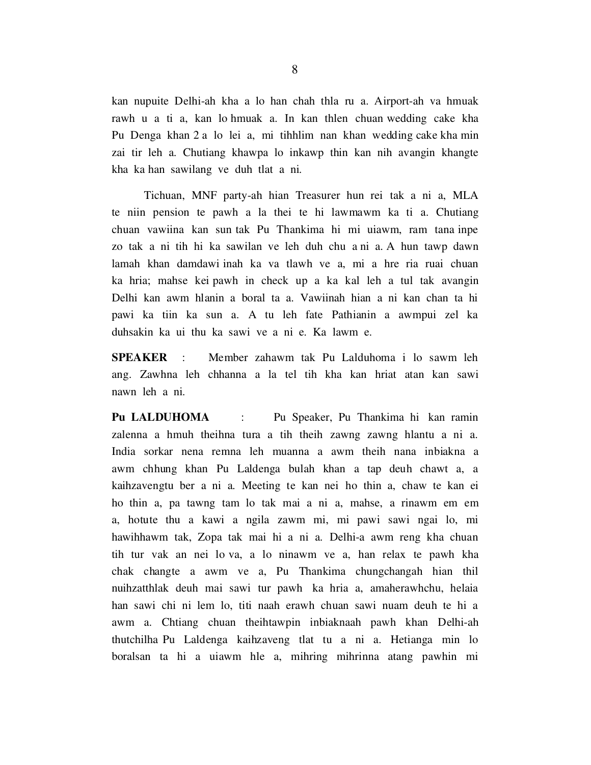kan nupuite Delhi-ah kha a lo han chah thla ru a. Airport-ah va hmuak rawh u a ti a, kan lo hmuak a. In kan thlen chuan wedding cake kha Pu Denga khan 2 a lo lei a, mi tihhlim nan khan wedding cake kha min zai tir leh a. Chutiang khawpa lo inkawp thin kan nih avangin khangte kha ka han sawilang ve duh tlat a ni.

 Tichuan, MNF party-ah hian Treasurer hun rei tak a ni a, MLA te niin pension te pawh a la thei te hi lawmawm ka ti a. Chutiang chuan vawiina kan sun tak Pu Thankima hi mi uiawm, ram tana inpe zo tak a ni tih hi ka sawilan ve leh duh chu a ni a. A hun tawp dawn lamah khan damdawi inah ka va tlawh ve a, mi a hre ria ruai chuan ka hria; mahse kei pawh in check up a ka kal leh a tul tak avangin Delhi kan awm hlanin a boral ta a. Vawiinah hian a ni kan chan ta hi pawi ka tiin ka sun a. A tu leh fate Pathianin a awmpui zel ka duhsakin ka ui thu ka sawi ve a ni e. Ka lawm e.

SPEAKER : Member zahawm tak Pu Lalduhoma i lo sawm leh ang. Zawhna leh chhanna a la tel tih kha kan hriat atan kan sawi nawn leh a ni.

Pu LALDUHOMA : Pu Speaker, Pu Thankima hi kan ramin zalenna a hmuh theihna tura a tih theih zawng zawng hlantu a ni a. India sorkar nena remna leh muanna a awm theih nana inbiakna a awm chhung khan Pu Laldenga bulah khan a tap deuh chawt a, a kaihzavengtu ber a ni a. Meeting te kan nei ho thin a, chaw te kan ei ho thin a, pa tawng tam lo tak mai a ni a, mahse, a rinawm em em a, hotute thu a kawi a ngila zawm mi, mi pawi sawi ngai lo, mi hawihhawm tak, Zopa tak mai hi a ni a. Delhi-a awm reng kha chuan tih tur vak an nei lo va, a lo ninawm ve a, han relax te pawh kha chak changte a awm ve a, Pu Thankima chungchangah hian thil nuihzatthlak deuh mai sawi tur pawh ka hria a, amaherawhchu, helaia han sawi chi ni lem lo, titi naah erawh chuan sawi nuam deuh te hi a awm a. Chtiang chuan theihtawpin inbiaknaah pawh khan Delhi-ah thutchilha Pu Laldenga kaihzaveng tlat tu a ni a. Hetianga min lo boralsan ta hi a uiawm hle a, mihring mihrinna atang pawhin mi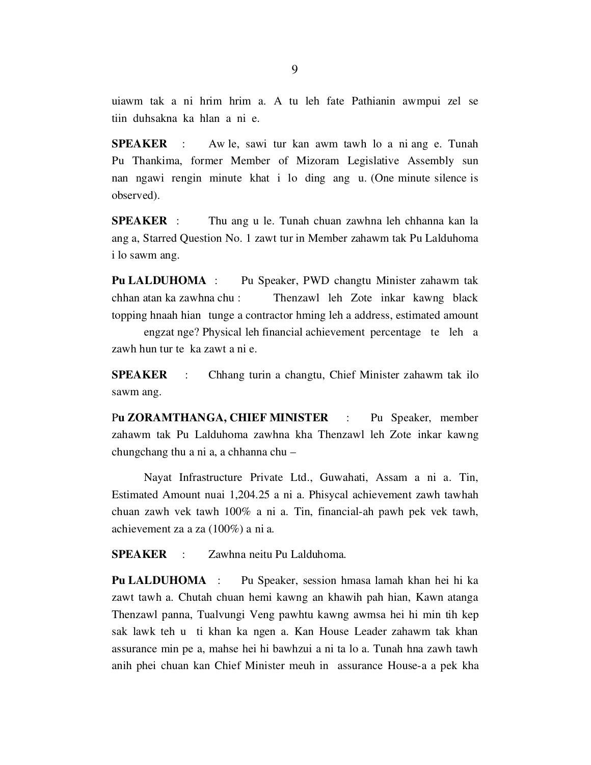uiawm tak a ni hrim hrim a. A tu leh fate Pathianin awmpui zel se tiin duhsakna ka hlan a ni e.

SPEAKER : Aw le, sawi tur kan awm tawh lo a ni ang e. Tunah Pu Thankima, former Member of Mizoram Legislative Assembly sun nan ngawi rengin minute khat i lo ding ang u. (One minute silence is observed).

SPEAKER : Thu ang u le. Tunah chuan zawhna leh chhanna kan la ang a, Starred Question No. 1 zawt tur in Member zahawm tak Pu Lalduhoma i lo sawm ang.

Pu LALDUHOMA : Pu Speaker, PWD changtu Minister zahawm tak chhan atan ka zawhna chu : Thenzawl leh Zote inkar kawng black topping hnaah hian tunge a contractor hming leh a address, estimated amount

 engzat nge? Physical leh financial achievement percentage te leh a zawh hun tur te ka zawt a ni e.

**SPEAKER** : Chhang turin a changtu, Chief Minister zahawm tak ilo sawm ang.

Pu ZORAMTHANGA, CHIEF MINISTER : Pu Speaker, member zahawm tak Pu Lalduhoma zawhna kha Thenzawl leh Zote inkar kawng chungchang thu a ni a, a chhanna chu –

 Nayat Infrastructure Private Ltd., Guwahati, Assam a ni a. Tin, Estimated Amount nuai 1,204.25 a ni a. Phisycal achievement zawh tawhah chuan zawh vek tawh 100% a ni a. Tin, financial-ah pawh pek vek tawh, achievement za a za (100%) a ni a.

SPEAKER : Zawhna neitu Pu Lalduhoma.

Pu LALDUHOMA : Pu Speaker, session hmasa lamah khan hei hi ka zawt tawh a. Chutah chuan hemi kawng an khawih pah hian, Kawn atanga Thenzawl panna, Tualvungi Veng pawhtu kawng awmsa hei hi min tih kep sak lawk teh u ti khan ka ngen a. Kan House Leader zahawm tak khan assurance min pe a, mahse hei hi bawhzui a ni ta lo a. Tunah hna zawh tawh anih phei chuan kan Chief Minister meuh in assurance House-a a pek kha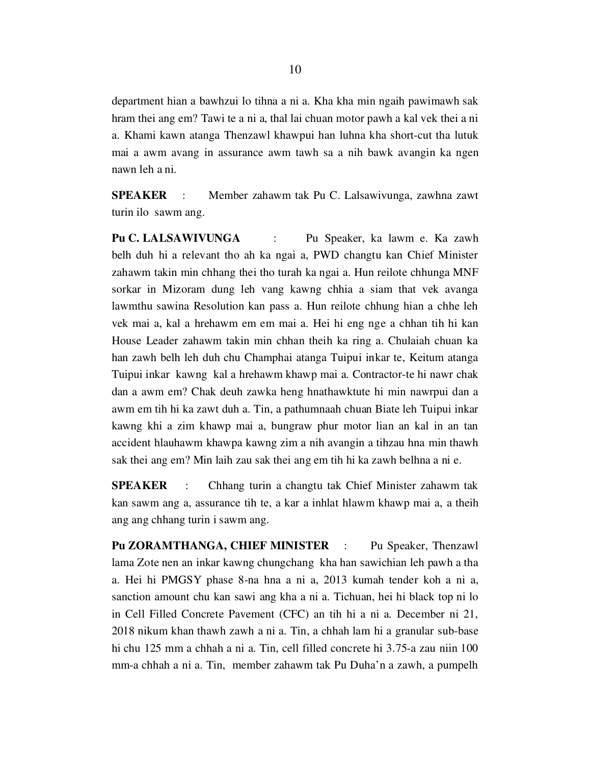department hian a bawhzui lo tihna a ni a. Kha kha min ngaih pawimawh sak hram thei ang em? Tawi te a ni a, thal lai chuan motor pawh a kal vek thei a ni a. Khami kawn atanga Thenzawl khawpui han luhna kha short-cut tha lutuk mai a awm avang in assurance awm tawh sa a nih bawk avangin ka ngen nawn leh a ni.

SPEAKER : Member zahawm tak Pu C. Lalsawivunga, zawhna zawt turin ilo sawm ang.

Pu C. LALSAWIVUNGA : Pu Speaker, ka lawm e. Ka zawh belh duh hi a relevant tho ah ka ngai a, PWD changtu kan Chief Minister zahawm takin min chhang thei tho turah ka ngai a. Hun reilote chhunga MNF sorkar in Mizoram dung leh vang kawng chhia a siam that vek avanga lawmthu sawina Resolution kan pass a. Hun reilote chhung hian a chhe leh vek mai a, kal a hrehawm em em mai a. Hei hi eng nge a chhan tih hi kan House Leader zahawm takin min chhan theih ka ring a. Chulaiah chuan ka han zawh belh leh duh chu Champhai atanga Tuipui inkar te, Keitum atanga Tuipui inkar kawng kal a hrehawm khawp mai a. Contractor-te hi nawr chak dan a awm em? Chak deuh zawka heng hnathawktute hi min nawrpui dan a awm em tih hi ka zawt duh a. Tin, a pathumnaah chuan Biate leh Tuipui inkar kawng khi a zim khawp mai a, bungraw phur motor lian an kal in an tan accident hlauhawm khawpa kawng zim a nih avangin a tihzau hna min thawh sak thei ang em? Min laih zau sak thei ang em tih hi ka zawh belhna a ni e.

SPEAKER : Chhang turin a changtu tak Chief Minister zahawm tak kan sawm ang a, assurance tih te, a kar a inhlat hlawm khawp mai a, a theih ang ang chhang turin i sawm ang.

Pu ZORAMTHANGA, CHIEF MINISTER : Pu Speaker, Thenzawl lama Zote nen an inkar kawng chungchang kha han sawichian leh pawh a tha a. Hei hi PMGSY phase 8-na hna a ni a, 2013 kumah tender koh a ni a, sanction amount chu kan sawi ang kha a ni a. Tichuan, hei hi black top ni lo in Cell Filled Concrete Pavement (CFC) an tih hi a ni a. December ni 21, 2018 nikum khan thawh zawh a ni a. Tin, a chhah lam hi a granular sub-base hi chu 125 mm a chhah a ni a. Tin, cell filled concrete hi 3.75-a zau niin 100 mm-a chhah a ni a. Tin, member zahawm tak Pu Duha'n a zawh, a pumpelh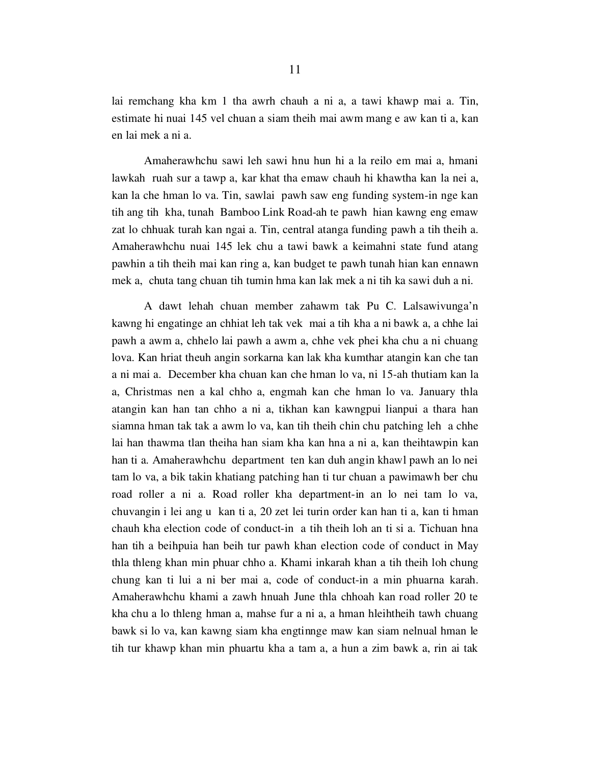lai remchang kha km 1 tha awrh chauh a ni a, a tawi khawp mai a. Tin, estimate hi nuai 145 vel chuan a siam theih mai awm mang e aw kan ti a, kan en lai mek a ni a.

 Amaherawhchu sawi leh sawi hnu hun hi a la reilo em mai a, hmani lawkah ruah sur a tawp a, kar khat tha emaw chauh hi khawtha kan la nei a, kan la che hman lo va. Tin, sawlai pawh saw eng funding system-in nge kan tih ang tih kha, tunah Bamboo Link Road-ah te pawh hian kawng eng emaw zat lo chhuak turah kan ngai a. Tin, central atanga funding pawh a tih theih a. Amaherawhchu nuai 145 lek chu a tawi bawk a keimahni state fund atang pawhin a tih theih mai kan ring a, kan budget te pawh tunah hian kan ennawn mek a, chuta tang chuan tih tumin hma kan lak mek a ni tih ka sawi duh a ni.

 A dawt lehah chuan member zahawm tak Pu C. Lalsawivunga'n kawng hi engatinge an chhiat leh tak vek mai a tih kha a ni bawk a, a chhe lai pawh a awm a, chhelo lai pawh a awm a, chhe vek phei kha chu a ni chuang lova. Kan hriat theuh angin sorkarna kan lak kha kumthar atangin kan che tan a ni mai a. December kha chuan kan che hman lo va, ni 15-ah thutiam kan la a, Christmas nen a kal chho a, engmah kan che hman lo va. January thla atangin kan han tan chho a ni a, tikhan kan kawngpui lianpui a thara han siamna hman tak tak a awm lo va, kan tih theih chin chu patching leh a chhe lai han thawma tlan theiha han siam kha kan hna a ni a, kan theihtawpin kan han ti a. Amaherawhchu department ten kan duh angin khawl pawh an lo nei tam lo va, a bik takin khatiang patching han ti tur chuan a pawimawh ber chu road roller a ni a. Road roller kha department-in an lo nei tam lo va, chuvangin i lei ang u kan ti a, 20 zet lei turin order kan han ti a, kan ti hman chauh kha election code of conduct-in a tih theih loh an ti si a. Tichuan hna han tih a beihpuia han beih tur pawh khan election code of conduct in May thla thleng khan min phuar chho a. Khami inkarah khan a tih theih loh chung chung kan ti lui a ni ber mai a, code of conduct-in a min phuarna karah. Amaherawhchu khami a zawh hnuah June thla chhoah kan road roller 20 te kha chu a lo thleng hman a, mahse fur a ni a, a hman hleihtheih tawh chuang bawk si lo va, kan kawng siam kha engtinnge maw kan siam nelnual hman le tih tur khawp khan min phuartu kha a tam a, a hun a zim bawk a, rin ai tak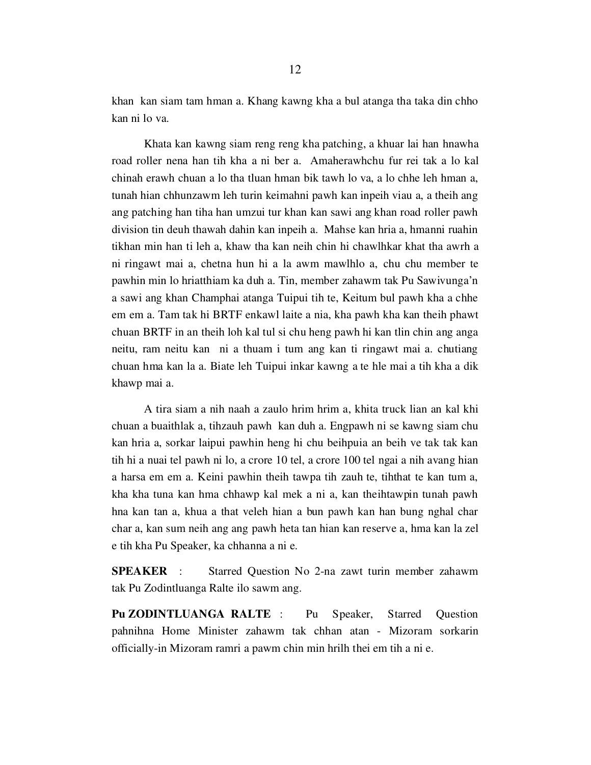khan kan siam tam hman a. Khang kawng kha a bul atanga tha taka din chho kan ni lo va.

 Khata kan kawng siam reng reng kha patching, a khuar lai han hnawha road roller nena han tih kha a ni ber a. Amaherawhchu fur rei tak a lo kal chinah erawh chuan a lo tha tluan hman bik tawh lo va, a lo chhe leh hman a, tunah hian chhunzawm leh turin keimahni pawh kan inpeih viau a, a theih ang ang patching han tiha han umzui tur khan kan sawi ang khan road roller pawh division tin deuh thawah dahin kan inpeih a. Mahse kan hria a, hmanni ruahin tikhan min han ti leh a, khaw tha kan neih chin hi chawlhkar khat tha awrh a ni ringawt mai a, chetna hun hi a la awm mawlhlo a, chu chu member te pawhin min lo hriatthiam ka duh a. Tin, member zahawm tak Pu Sawivunga'n a sawi ang khan Champhai atanga Tuipui tih te, Keitum bul pawh kha a chhe em em a. Tam tak hi BRTF enkawl laite a nia, kha pawh kha kan theih phawt chuan BRTF in an theih loh kal tul si chu heng pawh hi kan tlin chin ang anga neitu, ram neitu kan ni a thuam i tum ang kan ti ringawt mai a. chutiang chuan hma kan la a. Biate leh Tuipui inkar kawng a te hle mai a tih kha a dik khawp mai a.

 A tira siam a nih naah a zaulo hrim hrim a, khita truck lian an kal khi chuan a buaithlak a, tihzauh pawh kan duh a. Engpawh ni se kawng siam chu kan hria a, sorkar laipui pawhin heng hi chu beihpuia an beih ve tak tak kan tih hi a nuai tel pawh ni lo, a crore 10 tel, a crore 100 tel ngai a nih avang hian a harsa em em a. Keini pawhin theih tawpa tih zauh te, tihthat te kan tum a, kha kha tuna kan hma chhawp kal mek a ni a, kan theihtawpin tunah pawh hna kan tan a, khua a that veleh hian a bun pawh kan han bung nghal char char a, kan sum neih ang ang pawh heta tan hian kan reserve a, hma kan la zel e tih kha Pu Speaker, ka chhanna a ni e.

SPEAKER : Starred Question No 2-na zawt turin member zahawm tak Pu Zodintluanga Ralte ilo sawm ang.

Pu ZODINTLUANGA RALTE : Pu Speaker, Starred Question pahnihna Home Minister zahawm tak chhan atan - Mizoram sorkarin officially-in Mizoram ramri a pawm chin min hrilh thei em tih a ni e.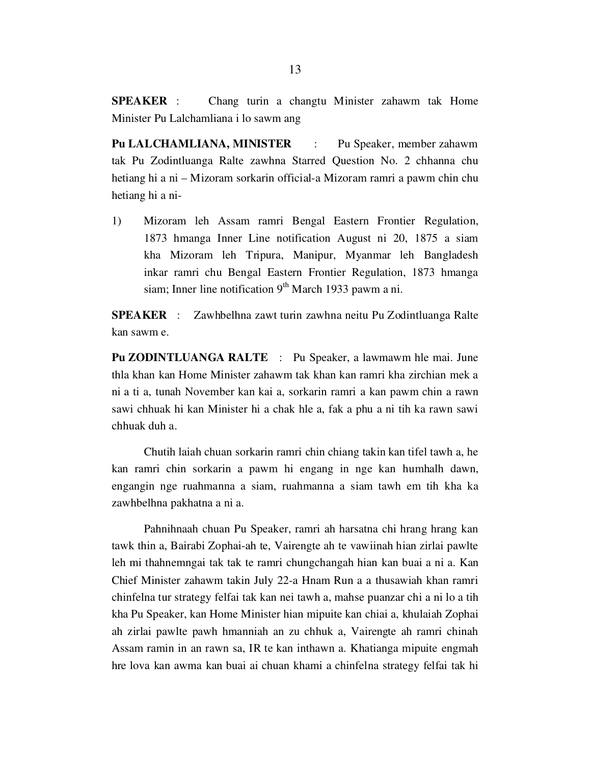SPEAKER : Chang turin a changtu Minister zahawm tak Home Minister Pu Lalchamliana i lo sawm ang

Pu LALCHAMLIANA, MINISTER : Pu Speaker, member zahawm tak Pu Zodintluanga Ralte zawhna Starred Question No. 2 chhanna chu hetiang hi a ni – Mizoram sorkarin official-a Mizoram ramri a pawm chin chu hetiang hi a ni-

1) Mizoram leh Assam ramri Bengal Eastern Frontier Regulation, 1873 hmanga Inner Line notification August ni 20, 1875 a siam kha Mizoram leh Tripura, Manipur, Myanmar leh Bangladesh inkar ramri chu Bengal Eastern Frontier Regulation, 1873 hmanga siam; Inner line notification  $9<sup>th</sup>$  March 1933 pawm a ni.

SPEAKER : Zawhbelhna zawt turin zawhna neitu Pu Zodintluanga Ralte kan sawm e.

Pu ZODINTLUANGA RALTE : Pu Speaker, a lawmawm hle mai. June thla khan kan Home Minister zahawm tak khan kan ramri kha zirchian mek a ni a ti a, tunah November kan kai a, sorkarin ramri a kan pawm chin a rawn sawi chhuak hi kan Minister hi a chak hle a, fak a phu a ni tih ka rawn sawi chhuak duh a.

 Chutih laiah chuan sorkarin ramri chin chiang takin kan tifel tawh a, he kan ramri chin sorkarin a pawm hi engang in nge kan humhalh dawn, engangin nge ruahmanna a siam, ruahmanna a siam tawh em tih kha ka zawhbelhna pakhatna a ni a.

 Pahnihnaah chuan Pu Speaker, ramri ah harsatna chi hrang hrang kan tawk thin a, Bairabi Zophai-ah te, Vairengte ah te vawiinah hian zirlai pawlte leh mi thahnemngai tak tak te ramri chungchangah hian kan buai a ni a. Kan Chief Minister zahawm takin July 22-a Hnam Run a a thusawiah khan ramri chinfelna tur strategy felfai tak kan nei tawh a, mahse puanzar chi a ni lo a tih kha Pu Speaker, kan Home Minister hian mipuite kan chiai a, khulaiah Zophai ah zirlai pawlte pawh hmanniah an zu chhuk a, Vairengte ah ramri chinah Assam ramin in an rawn sa, IR te kan inthawn a. Khatianga mipuite engmah hre lova kan awma kan buai ai chuan khami a chinfelna strategy felfai tak hi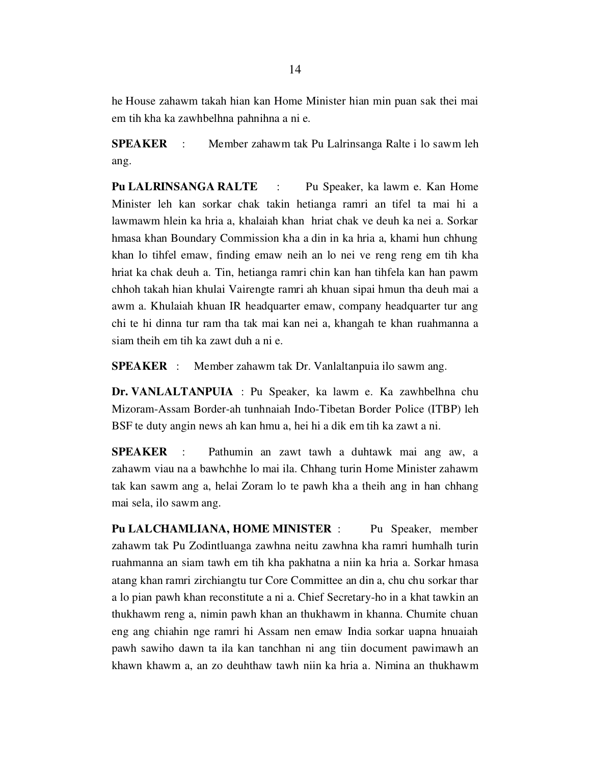he House zahawm takah hian kan Home Minister hian min puan sak thei mai em tih kha ka zawhbelhna pahnihna a ni e.

SPEAKER : Member zahawm tak Pu Lalrinsanga Ralte i lo sawm leh ang.

Pu LALRINSANGA RALTE : Pu Speaker, ka lawm e. Kan Home Minister leh kan sorkar chak takin hetianga ramri an tifel ta mai hi a lawmawm hlein ka hria a, khalaiah khan hriat chak ve deuh ka nei a. Sorkar hmasa khan Boundary Commission kha a din in ka hria a, khami hun chhung khan lo tihfel emaw, finding emaw neih an lo nei ve reng reng em tih kha hriat ka chak deuh a. Tin, hetianga ramri chin kan han tihfela kan han pawm chhoh takah hian khulai Vairengte ramri ah khuan sipai hmun tha deuh mai a awm a. Khulaiah khuan IR headquarter emaw, company headquarter tur ang chi te hi dinna tur ram tha tak mai kan nei a, khangah te khan ruahmanna a siam theih em tih ka zawt duh a ni e.

SPEAKER : Member zahawm tak Dr. Vanlaltanpuia ilo sawm ang.

Dr. VANLALTANPUIA : Pu Speaker, ka lawm e. Ka zawhbelhna chu Mizoram-Assam Border-ah tunhnaiah Indo-Tibetan Border Police (ITBP) leh BSF te duty angin news ah kan hmu a, hei hi a dik em tih ka zawt a ni.

SPEAKER : Pathumin an zawt tawh a duhtawk mai ang aw, a zahawm viau na a bawhchhe lo mai ila. Chhang turin Home Minister zahawm tak kan sawm ang a, helai Zoram lo te pawh kha a theih ang in han chhang mai sela, ilo sawm ang.

Pu LALCHAMLIANA, HOME MINISTER : Pu Speaker, member zahawm tak Pu Zodintluanga zawhna neitu zawhna kha ramri humhalh turin ruahmanna an siam tawh em tih kha pakhatna a niin ka hria a. Sorkar hmasa atang khan ramri zirchiangtu tur Core Committee an din a, chu chu sorkar thar a lo pian pawh khan reconstitute a ni a. Chief Secretary-ho in a khat tawkin an thukhawm reng a, nimin pawh khan an thukhawm in khanna. Chumite chuan eng ang chiahin nge ramri hi Assam nen emaw India sorkar uapna hnuaiah pawh sawiho dawn ta ila kan tanchhan ni ang tiin document pawimawh an khawn khawm a, an zo deuhthaw tawh niin ka hria a. Nimina an thukhawm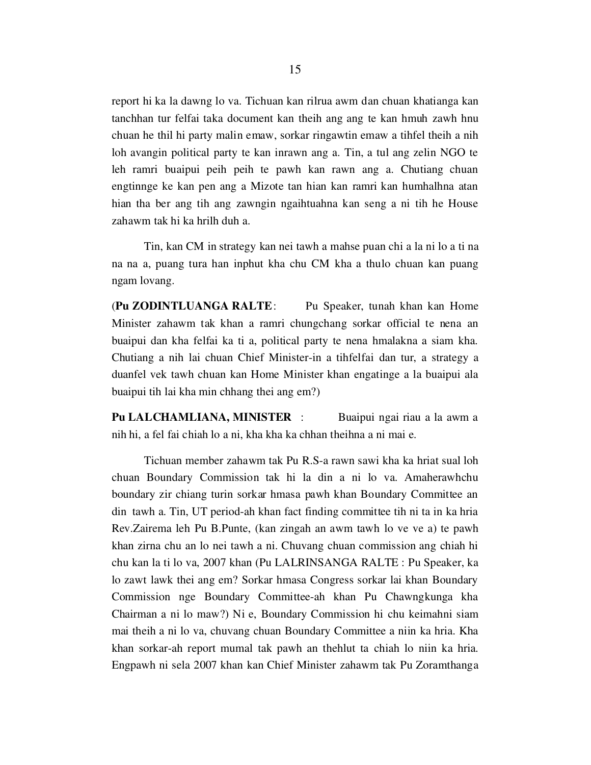report hi ka la dawng lo va. Tichuan kan rilrua awm dan chuan khatianga kan tanchhan tur felfai taka document kan theih ang ang te kan hmuh zawh hnu chuan he thil hi party malin emaw, sorkar ringawtin emaw a tihfel theih a nih loh avangin political party te kan inrawn ang a. Tin, a tul ang zelin NGO te leh ramri buaipui peih peih te pawh kan rawn ang a. Chutiang chuan engtinnge ke kan pen ang a Mizote tan hian kan ramri kan humhalhna atan hian tha ber ang tih ang zawngin ngaihtuahna kan seng a ni tih he House zahawm tak hi ka hrilh duh a.

 Tin, kan CM in strategy kan nei tawh a mahse puan chi a la ni lo a ti na na na a, puang tura han inphut kha chu CM kha a thulo chuan kan puang ngam lovang.

(Pu ZODINTLUANGA RALTE: Pu Speaker, tunah khan kan Home Minister zahawm tak khan a ramri chungchang sorkar official te nena an buaipui dan kha felfai ka ti a, political party te nena hmalakna a siam kha. Chutiang a nih lai chuan Chief Minister-in a tihfelfai dan tur, a strategy a duanfel vek tawh chuan kan Home Minister khan engatinge a la buaipui ala buaipui tih lai kha min chhang thei ang em?)

Pu LALCHAMLIANA, MINISTER : Buaipui ngai riau a la awm a nih hi, a fel fai chiah lo a ni, kha kha ka chhan theihna a ni mai e.

 Tichuan member zahawm tak Pu R.S-a rawn sawi kha ka hriat sual loh chuan Boundary Commission tak hi la din a ni lo va. Amaherawhchu boundary zir chiang turin sorkar hmasa pawh khan Boundary Committee an din tawh a. Tin, UT period-ah khan fact finding committee tih ni ta in ka hria Rev.Zairema leh Pu B.Punte, (kan zingah an awm tawh lo ve ve a) te pawh khan zirna chu an lo nei tawh a ni. Chuvang chuan commission ang chiah hi chu kan la ti lo va, 2007 khan (Pu LALRINSANGA RALTE : Pu Speaker, ka lo zawt lawk thei ang em? Sorkar hmasa Congress sorkar lai khan Boundary Commission nge Boundary Committee-ah khan Pu Chawngkunga kha Chairman a ni lo maw?) Ni e, Boundary Commission hi chu keimahni siam mai theih a ni lo va, chuvang chuan Boundary Committee a niin ka hria. Kha khan sorkar-ah report mumal tak pawh an thehlut ta chiah lo niin ka hria. Engpawh ni sela 2007 khan kan Chief Minister zahawm tak Pu Zoramthanga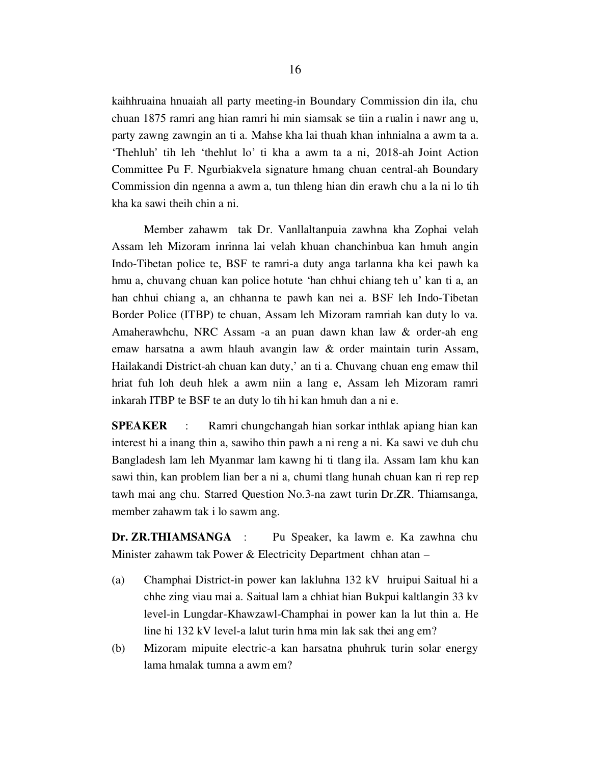kaihhruaina hnuaiah all party meeting-in Boundary Commission din ila, chu chuan 1875 ramri ang hian ramri hi min siamsak se tiin a rualin i nawr ang u, party zawng zawngin an ti a. Mahse kha lai thuah khan inhnialna a awm ta a. 'Thehluh' tih leh 'thehlut lo' ti kha a awm ta a ni, 2018-ah Joint Action Committee Pu F. Ngurbiakvela signature hmang chuan central-ah Boundary Commission din ngenna a awm a, tun thleng hian din erawh chu a la ni lo tih kha ka sawi theih chin a ni.

 Member zahawm tak Dr. Vanllaltanpuia zawhna kha Zophai velah Assam leh Mizoram inrinna lai velah khuan chanchinbua kan hmuh angin Indo-Tibetan police te, BSF te ramri-a duty anga tarlanna kha kei pawh ka hmu a, chuvang chuan kan police hotute 'han chhui chiang teh u' kan ti a, an han chhui chiang a, an chhanna te pawh kan nei a. BSF leh Indo-Tibetan Border Police (ITBP) te chuan, Assam leh Mizoram ramriah kan duty lo va. Amaherawhchu, NRC Assam -a an puan dawn khan law & order-ah eng emaw harsatna a awm hlauh avangin law & order maintain turin Assam, Hailakandi District-ah chuan kan duty,' an ti a. Chuvang chuan eng emaw thil hriat fuh loh deuh hlek a awm niin a lang e, Assam leh Mizoram ramri inkarah ITBP te BSF te an duty lo tih hi kan hmuh dan a ni e.

SPEAKER : Ramri chungchangah hian sorkar inthlak apiang hian kan interest hi a inang thin a, sawiho thin pawh a ni reng a ni. Ka sawi ve duh chu Bangladesh lam leh Myanmar lam kawng hi ti tlang ila. Assam lam khu kan sawi thin, kan problem lian ber a ni a, chumi tlang hunah chuan kan ri rep rep tawh mai ang chu. Starred Question No.3-na zawt turin Dr.ZR. Thiamsanga, member zahawm tak i lo sawm ang.

Dr. ZR.THIAMSANGA : Pu Speaker, ka lawm e. Ka zawhna chu Minister zahawm tak Power & Electricity Department chhan atan –

- (a) Champhai District-in power kan lakluhna 132 kV hruipui Saitual hi a chhe zing viau mai a. Saitual lam a chhiat hian Bukpui kaltlangin 33 kv level-in Lungdar-Khawzawl-Champhai in power kan la lut thin a. He line hi 132 kV level-a lalut turin hma min lak sak thei ang em?
- (b) Mizoram mipuite electric-a kan harsatna phuhruk turin solar energy lama hmalak tumna a awm em?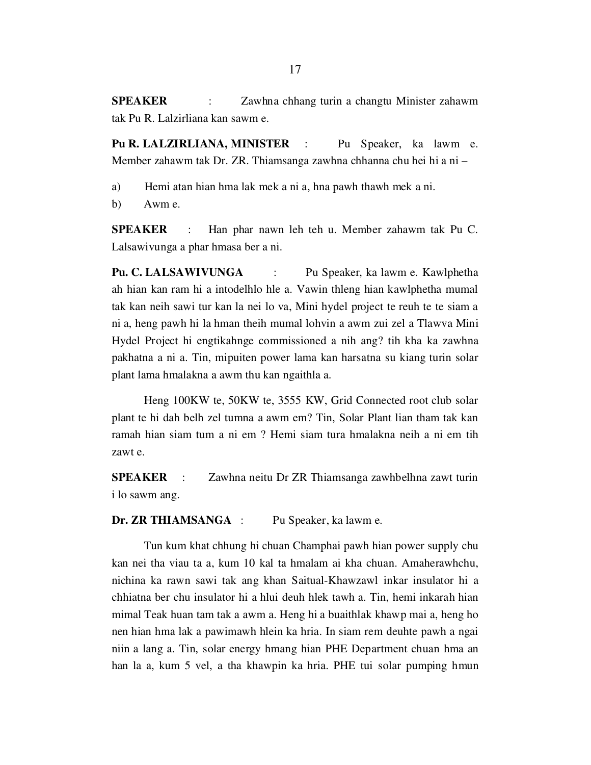SPEAKER : Zawhna chhang turin a changtu Minister zahawm tak Pu R. Lalzirliana kan sawm e.

Pu R. LALZIRLIANA, MINISTER : Pu Speaker, ka lawm e. Member zahawm tak Dr. ZR. Thiamsanga zawhna chhanna chu hei hi a ni –

a) Hemi atan hian hma lak mek a ni a, hna pawh thawh mek a ni.

b) Awm e.

SPEAKER : Han phar nawn leh teh u. Member zahawm tak Pu C. Lalsawivunga a phar hmasa ber a ni.

Pu. C. LALSAWIVUNGA : Pu Speaker, ka lawm e. Kawlphetha ah hian kan ram hi a intodelhlo hle a. Vawin thleng hian kawlphetha mumal tak kan neih sawi tur kan la nei lo va, Mini hydel project te reuh te te siam a ni a, heng pawh hi la hman theih mumal lohvin a awm zui zel a Tlawva Mini Hydel Project hi engtikahnge commissioned a nih ang? tih kha ka zawhna pakhatna a ni a. Tin, mipuiten power lama kan harsatna su kiang turin solar plant lama hmalakna a awm thu kan ngaithla a.

 Heng 100KW te, 50KW te, 3555 KW, Grid Connected root club solar plant te hi dah belh zel tumna a awm em? Tin, Solar Plant lian tham tak kan ramah hian siam tum a ni em ? Hemi siam tura hmalakna neih a ni em tih zawt e.

SPEAKER : Zawhna neitu Dr ZR Thiamsanga zawhbelhna zawt turin i lo sawm ang.

Dr. ZR THIAMSANGA : Pu Speaker, ka lawm e.

 Tun kum khat chhung hi chuan Champhai pawh hian power supply chu kan nei tha viau ta a, kum 10 kal ta hmalam ai kha chuan. Amaherawhchu, nichina ka rawn sawi tak ang khan Saitual-Khawzawl inkar insulator hi a chhiatna ber chu insulator hi a hlui deuh hlek tawh a. Tin, hemi inkarah hian mimal Teak huan tam tak a awm a. Heng hi a buaithlak khawp mai a, heng ho nen hian hma lak a pawimawh hlein ka hria. In siam rem deuhte pawh a ngai niin a lang a. Tin, solar energy hmang hian PHE Department chuan hma an han la a, kum 5 vel, a tha khawpin ka hria. PHE tui solar pumping hmun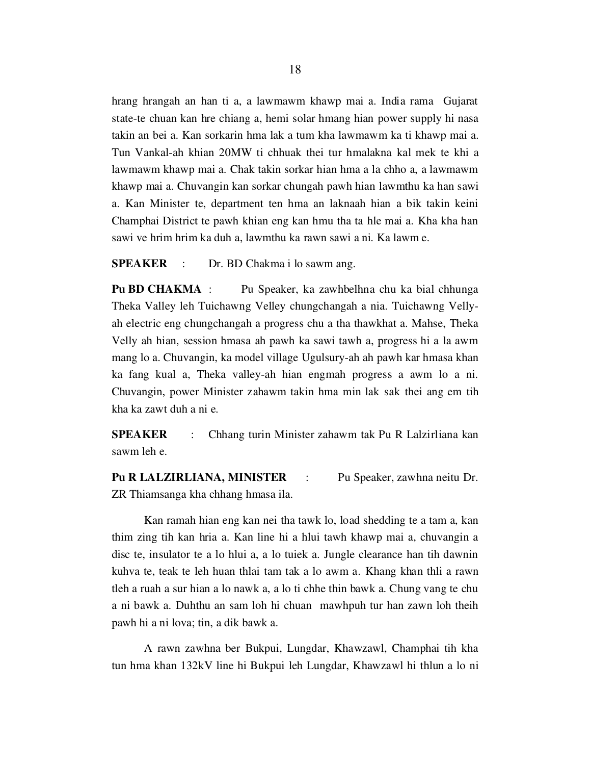hrang hrangah an han ti a, a lawmawm khawp mai a. India rama Gujarat state-te chuan kan hre chiang a, hemi solar hmang hian power supply hi nasa takin an bei a. Kan sorkarin hma lak a tum kha lawmawm ka ti khawp mai a. Tun Vankal-ah khian 20MW ti chhuak thei tur hmalakna kal mek te khi a lawmawm khawp mai a. Chak takin sorkar hian hma a la chho a, a lawmawm khawp mai a. Chuvangin kan sorkar chungah pawh hian lawmthu ka han sawi a. Kan Minister te, department ten hma an laknaah hian a bik takin keini Champhai District te pawh khian eng kan hmu tha ta hle mai a. Kha kha han sawi ve hrim hrim ka duh a, lawmthu ka rawn sawi a ni. Ka lawm e.

SPEAKER : Dr. BD Chakma i lo sawm ang.

Pu BD CHAKMA : Pu Speaker, ka zawhbelhna chu ka bial chhunga Theka Valley leh Tuichawng Velley chungchangah a nia. Tuichawng Vellyah electric eng chungchangah a progress chu a tha thawkhat a. Mahse, Theka Velly ah hian, session hmasa ah pawh ka sawi tawh a, progress hi a la awm mang lo a. Chuvangin, ka model village Ugulsury-ah ah pawh kar hmasa khan ka fang kual a, Theka valley-ah hian engmah progress a awm lo a ni. Chuvangin, power Minister zahawm takin hma min lak sak thei ang em tih kha ka zawt duh a ni e.

SPEAKER : Chhang turin Minister zahawm tak Pu R Lalzirliana kan sawm leh e.

Pu R LALZIRLIANA, MINISTER : Pu Speaker, zawhna neitu Dr. ZR Thiamsanga kha chhang hmasa ila.

 Kan ramah hian eng kan nei tha tawk lo, load shedding te a tam a, kan thim zing tih kan hria a. Kan line hi a hlui tawh khawp mai a, chuvangin a disc te, insulator te a lo hlui a, a lo tuiek a. Jungle clearance han tih dawnin kuhva te, teak te leh huan thlai tam tak a lo awm a. Khang khan thli a rawn tleh a ruah a sur hian a lo nawk a, a lo ti chhe thin bawk a. Chung vang te chu a ni bawk a. Duhthu an sam loh hi chuan mawhpuh tur han zawn loh theih pawh hi a ni lova; tin, a dik bawk a.

 A rawn zawhna ber Bukpui, Lungdar, Khawzawl, Champhai tih kha tun hma khan 132kV line hi Bukpui leh Lungdar, Khawzawl hi thlun a lo ni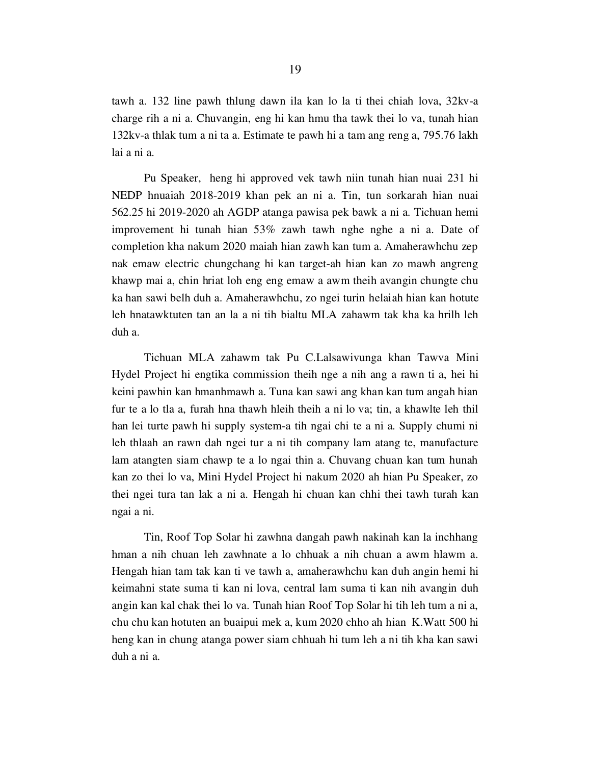tawh a. 132 line pawh thlung dawn ila kan lo la ti thei chiah lova, 32kv-a charge rih a ni a. Chuvangin, eng hi kan hmu tha tawk thei lo va, tunah hian 132kv-a thlak tum a ni ta a. Estimate te pawh hi a tam ang reng a, 795.76 lakh lai a ni a.

 Pu Speaker, heng hi approved vek tawh niin tunah hian nuai 231 hi NEDP hnuaiah 2018-2019 khan pek an ni a. Tin, tun sorkarah hian nuai 562.25 hi 2019-2020 ah AGDP atanga pawisa pek bawk a ni a. Tichuan hemi improvement hi tunah hian 53% zawh tawh nghe nghe a ni a. Date of completion kha nakum 2020 maiah hian zawh kan tum a. Amaherawhchu zep nak emaw electric chungchang hi kan target-ah hian kan zo mawh angreng khawp mai a, chin hriat loh eng eng emaw a awm theih avangin chungte chu ka han sawi belh duh a. Amaherawhchu, zo ngei turin helaiah hian kan hotute leh hnatawktuten tan an la a ni tih bialtu MLA zahawm tak kha ka hrilh leh duh a.

 Tichuan MLA zahawm tak Pu C.Lalsawivunga khan Tawva Mini Hydel Project hi engtika commission theih nge a nih ang a rawn ti a, hei hi keini pawhin kan hmanhmawh a. Tuna kan sawi ang khan kan tum angah hian fur te a lo tla a, furah hna thawh hleih theih a ni lo va; tin, a khawlte leh thil han lei turte pawh hi supply system-a tih ngai chi te a ni a. Supply chumi ni leh thlaah an rawn dah ngei tur a ni tih company lam atang te, manufacture lam atangten siam chawp te a lo ngai thin a. Chuvang chuan kan tum hunah kan zo thei lo va, Mini Hydel Project hi nakum 2020 ah hian Pu Speaker, zo thei ngei tura tan lak a ni a. Hengah hi chuan kan chhi thei tawh turah kan ngai a ni.

 Tin, Roof Top Solar hi zawhna dangah pawh nakinah kan la inchhang hman a nih chuan leh zawhnate a lo chhuak a nih chuan a awm hlawm a. Hengah hian tam tak kan ti ve tawh a, amaherawhchu kan duh angin hemi hi keimahni state suma ti kan ni lova, central lam suma ti kan nih avangin duh angin kan kal chak thei lo va. Tunah hian Roof Top Solar hi tih leh tum a ni a, chu chu kan hotuten an buaipui mek a, kum 2020 chho ah hian K.Watt 500 hi heng kan in chung atanga power siam chhuah hi tum leh a ni tih kha kan sawi duh a ni a.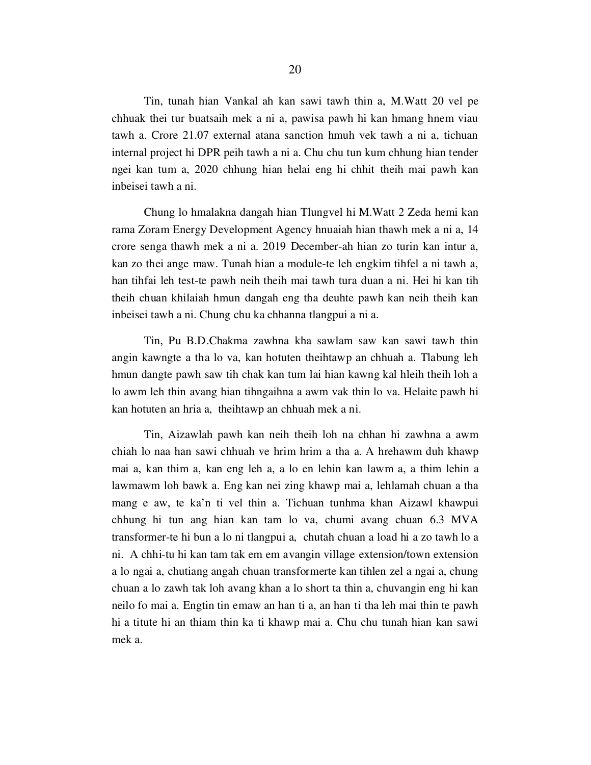Tin, tunah hian Vankal ah kan sawi tawh thin a, M.Watt 20 vel pe chhuak thei tur buatsaih mek a ni a, pawisa pawh hi kan hmang hnem viau tawh a. Crore 21.07 external atana sanction hmuh vek tawh a ni a, tichuan internal project hi DPR peih tawh a ni a. Chu chu tun kum chhung hian tender ngei kan tum a, 2020 chhung hian helai eng hi chhit theih mai pawh kan inbeisei tawh a ni.

 Chung lo hmalakna dangah hian Tlungvel hi M.Watt 2 Zeda hemi kan rama Zoram Energy Development Agency hnuaiah hian thawh mek a ni a, 14 crore senga thawh mek a ni a. 2019 December-ah hian zo turin kan intur a, kan zo thei ange maw. Tunah hian a module-te leh engkim tihfel a ni tawh a, han tihfai leh test-te pawh neih theih mai tawh tura duan a ni. Hei hi kan tih theih chuan khilaiah hmun dangah eng tha deuhte pawh kan neih theih kan inbeisei tawh a ni. Chung chu ka chhanna tlangpui a ni a.

 Tin, Pu B.D.Chakma zawhna kha sawlam saw kan sawi tawh thin angin kawngte a tha lo va, kan hotuten theihtawp an chhuah a. Tlabung leh hmun dangte pawh saw tih chak kan tum lai hian kawng kal hleih theih loh a lo awm leh thin avang hian tihngaihna a awm vak thin lo va. Helaite pawh hi kan hotuten an hria a, theihtawp an chhuah mek a ni.

 Tin, Aizawlah pawh kan neih theih loh na chhan hi zawhna a awm chiah lo naa han sawi chhuah ve hrim hrim a tha a. A hrehawm duh khawp mai a, kan thim a, kan eng leh a, a lo en lehin kan lawm a, a thim lehin a lawmawm loh bawk a. Eng kan nei zing khawp mai a, lehlamah chuan a tha mang e aw, te ka'n ti vel thin a. Tichuan tunhma khan Aizawl khawpui chhung hi tun ang hian kan tam lo va, chumi avang chuan 6.3 MVA transformer-te hi bun a lo ni tlangpui a, chutah chuan a load hi a zo tawh lo a ni. A chhi-tu hi kan tam tak em em avangin village extension/town extension a lo ngai a, chutiang angah chuan transformerte kan tihlen zel a ngai a, chung chuan a lo zawh tak loh avang khan a lo short ta thin a, chuvangin eng hi kan neilo fo mai a. Engtin tin emaw an han ti a, an han ti tha leh mai thin te pawh hi a titute hi an thiam thin ka ti khawp mai a. Chu chu tunah hian kan sawi mek a.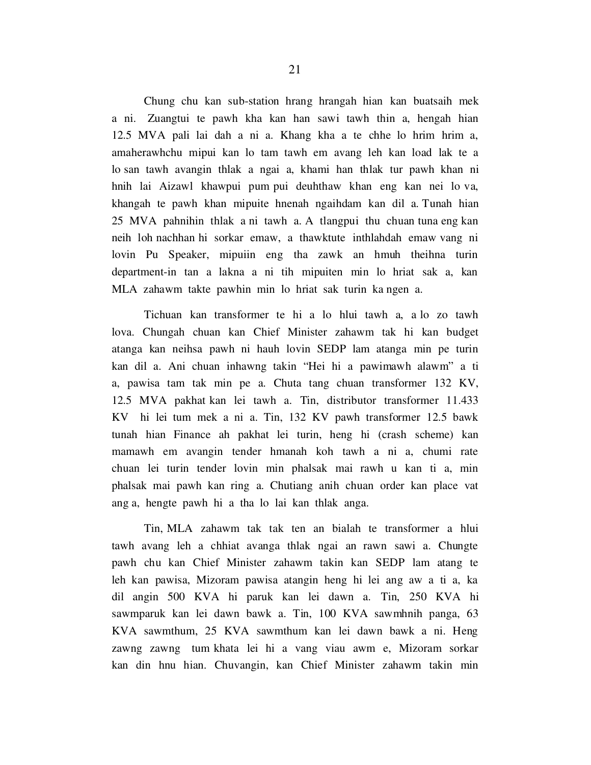Chung chu kan sub-station hrang hrangah hian kan buatsaih mek a ni. Zuangtui te pawh kha kan han sawi tawh thin a, hengah hian 12.5 MVA pali lai dah a ni a. Khang kha a te chhe lo hrim hrim a, amaherawhchu mipui kan lo tam tawh em avang leh kan load lak te a lo san tawh avangin thlak a ngai a, khami han thlak tur pawh khan ni hnih lai Aizawl khawpui pum pui deuhthaw khan eng kan nei lo va, khangah te pawh khan mipuite hnenah ngaihdam kan dil a. Tunah hian 25 MVA pahnihin thlak a ni tawh a. A tlangpui thu chuan tuna eng kan neih loh nachhan hi sorkar emaw, a thawktute inthlahdah emaw vang ni lovin Pu Speaker, mipuiin eng tha zawk an hmuh theihna turin department-in tan a lakna a ni tih mipuiten min lo hriat sak a, kan MLA zahawm takte pawhin min lo hriat sak turin ka ngen a.

 Tichuan kan transformer te hi a lo hlui tawh a, a lo zo tawh lova. Chungah chuan kan Chief Minister zahawm tak hi kan budget atanga kan neihsa pawh ni hauh lovin SEDP lam atanga min pe turin kan dil a. Ani chuan inhawng takin "Hei hi a pawimawh alawm" a ti a, pawisa tam tak min pe a. Chuta tang chuan transformer 132 KV, 12.5 MVA pakhat kan lei tawh a. Tin, distributor transformer 11.433 KV hi lei tum mek a ni a. Tin, 132 KV pawh transformer 12.5 bawk tunah hian Finance ah pakhat lei turin, heng hi (crash scheme) kan mamawh em avangin tender hmanah koh tawh a ni a, chumi rate chuan lei turin tender lovin min phalsak mai rawh u kan ti a, min phalsak mai pawh kan ring a. Chutiang anih chuan order kan place vat ang a, hengte pawh hi a tha lo lai kan thlak anga.

 Tin, MLA zahawm tak tak ten an bialah te transformer a hlui tawh avang leh a chhiat avanga thlak ngai an rawn sawi a. Chungte pawh chu kan Chief Minister zahawm takin kan SEDP lam atang te leh kan pawisa, Mizoram pawisa atangin heng hi lei ang aw a ti a, ka dil angin 500 KVA hi paruk kan lei dawn a. Tin, 250 KVA hi sawmparuk kan lei dawn bawk a. Tin, 100 KVA sawmhnih panga, 63 KVA sawmthum, 25 KVA sawmthum kan lei dawn bawk a ni. Heng zawng zawng tum khata lei hi a vang viau awm e, Mizoram sorkar kan din hnu hian. Chuvangin, kan Chief Minister zahawm takin min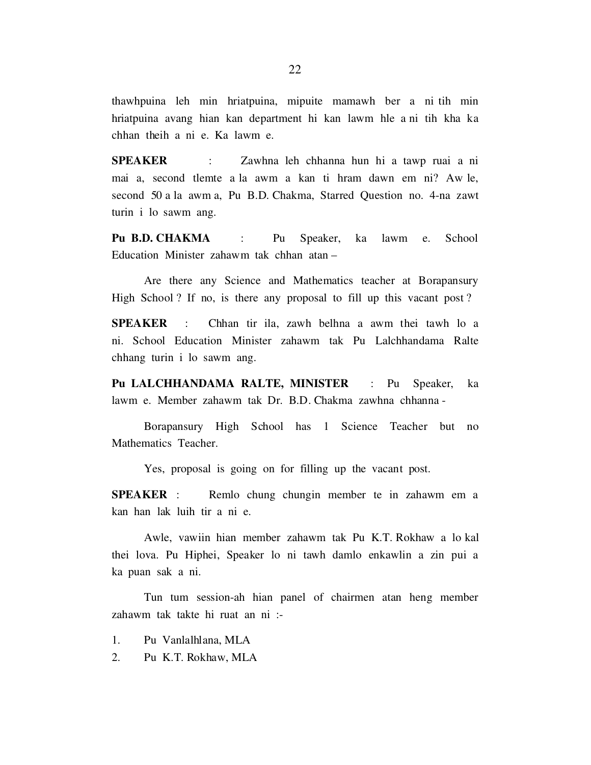thawhpuina leh min hriatpuina, mipuite mamawh ber a ni tih min hriatpuina avang hian kan department hi kan lawm hle a ni tih kha ka chhan theih a ni e. Ka lawm e.

SPEAKER : Zawhna leh chhanna hun hi a tawp ruai a ni mai a, second tlemte a la awm a kan ti hram dawn em ni? Aw le, second 50 a la awm a, Pu B.D. Chakma, Starred Question no. 4-na zawt turin i lo sawm ang.

Pu B.D. CHAKMA : Pu Speaker, ka lawm e. School Education Minister zahawm tak chhan atan –

 Are there any Science and Mathematics teacher at Borapansury High School ? If no, is there any proposal to fill up this vacant post?

SPEAKER : Chhan tir ila, zawh belhna a awm thei tawh lo a ni. School Education Minister zahawm tak Pu Lalchhandama Ralte chhang turin i lo sawm ang.

Pu LALCHHANDAMA RALTE, MINISTER : Pu Speaker, ka lawm e. Member zahawm tak Dr. B.D. Chakma zawhna chhanna -

 Borapansury High School has 1 Science Teacher but no Mathematics Teacher.

Yes, proposal is going on for filling up the vacant post.

SPEAKER : Remlo chung chungin member te in zahawm em a kan han lak luih tir a ni e.

 Awle, vawiin hian member zahawm tak Pu K.T. Rokhaw a lo kal thei lova. Pu Hiphei, Speaker lo ni tawh damlo enkawlin a zin pui a ka puan sak a ni.

 Tun tum session-ah hian panel of chairmen atan heng member zahawm tak takte hi ruat an ni :-

- 1. Pu Vanlalhlana, MLA
- 2. Pu K.T. Rokhaw, MLA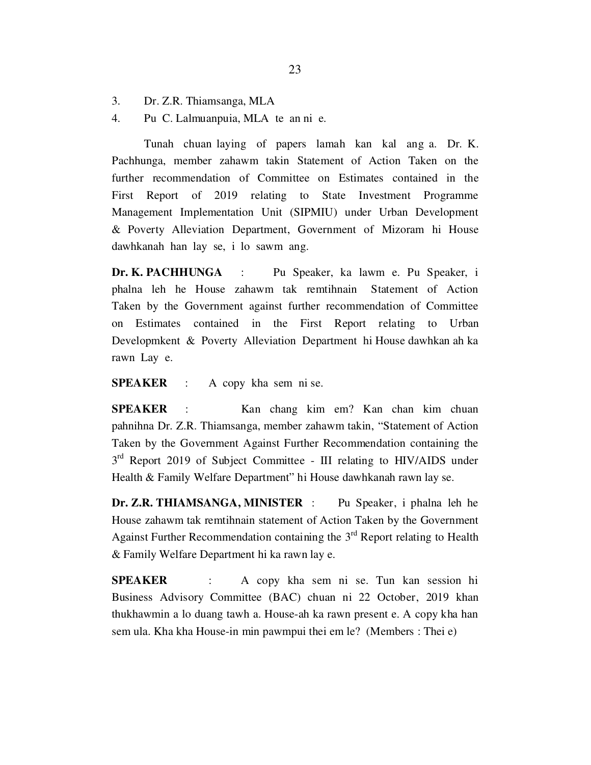- 3. Dr. Z.R. Thiamsanga, MLA
- 4. Pu C. Lalmuanpuia, MLA te an ni e.

 Tunah chuan laying of papers lamah kan kal ang a. Dr. K. Pachhunga, member zahawm takin Statement of Action Taken on the further recommendation of Committee on Estimates contained in the First Report of 2019 relating to State Investment Programme Management Implementation Unit (SIPMIU) under Urban Development & Poverty Alleviation Department, Government of Mizoram hi House dawhkanah han lay se, i lo sawm ang.

Dr. K. PACHHUNGA : Pu Speaker, ka lawm e. Pu Speaker, i phalna leh he House zahawm tak remtihnain Statement of Action Taken by the Government against further recommendation of Committee on Estimates contained in the First Report relating to Urban Developmkent & Poverty Alleviation Department hi House dawhkan ah ka rawn Lay e.

SPEAKER : A copy kha sem ni se.

SPEAKER : Kan chang kim em? Kan chan kim chuan pahnihna Dr. Z.R. Thiamsanga, member zahawm takin, "Statement of Action Taken by the Government Against Further Recommendation containing the  $3<sup>rd</sup>$  Report 2019 of Subject Committee - III relating to HIV/AIDS under Health & Family Welfare Department" hi House dawhkanah rawn lay se.

Dr. Z.R. THIAMSANGA, MINISTER : Pu Speaker, i phalna leh he House zahawm tak remtihnain statement of Action Taken by the Government Against Further Recommendation containing the  $3<sup>rd</sup>$  Report relating to Health & Family Welfare Department hi ka rawn lay e.

SPEAKER : A copy kha sem ni se. Tun kan session hi Business Advisory Committee (BAC) chuan ni 22 October, 2019 khan thukhawmin a lo duang tawh a. House-ah ka rawn present e. A copy kha han sem ula. Kha kha House-in min pawmpui thei em le? (Members : Thei e)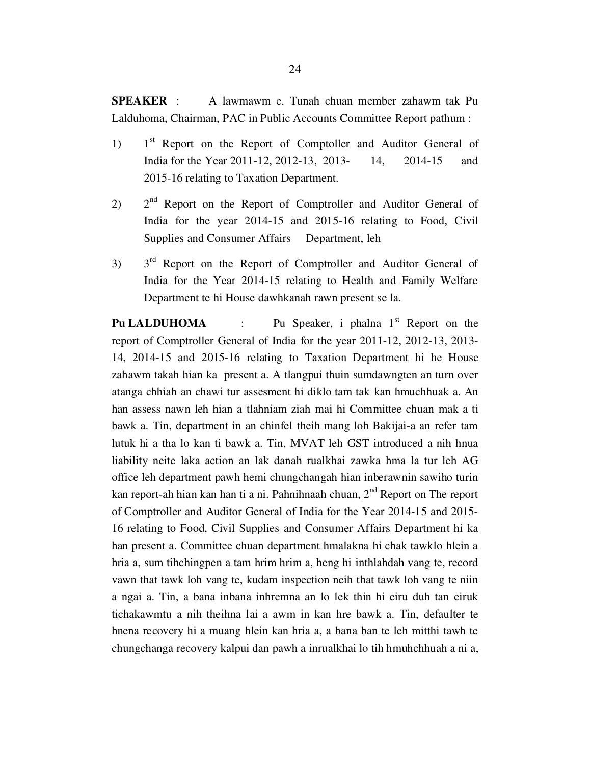SPEAKER : A lawmawm e. Tunah chuan member zahawm tak Pu Lalduhoma, Chairman, PAC in Public Accounts Committee Report pathum :

- 1) 1<sup>st</sup> Report on the Report of Comptoller and Auditor General of India for the Year 2011-12, 2012-13, 2013- 14, 2014-15 and 2015-16 relating to Taxation Department.
- $2^{\text{nd}}$  Report on the Report of Comptroller and Auditor General of India for the year 2014-15 and 2015-16 relating to Food, Civil Supplies and Consumer Affairs Department, leh
- $3$ )  $3<sup>rd</sup>$  Report on the Report of Comptroller and Auditor General of India for the Year 2014-15 relating to Health and Family Welfare Department te hi House dawhkanah rawn present se la.

**Pu LALDUHOMA** : Pu Speaker, i phalna  $1<sup>st</sup>$  Report on the report of Comptroller General of India for the year 2011-12, 2012-13, 2013- 14, 2014-15 and 2015-16 relating to Taxation Department hi he House zahawm takah hian ka present a. A tlangpui thuin sumdawngten an turn over atanga chhiah an chawi tur assesment hi diklo tam tak kan hmuchhuak a. An han assess nawn leh hian a tlahniam ziah mai hi Committee chuan mak a ti bawk a. Tin, department in an chinfel theih mang loh Bakijai-a an refer tam lutuk hi a tha lo kan ti bawk a. Tin, MVAT leh GST introduced a nih hnua liability neite laka action an lak danah rualkhai zawka hma la tur leh AG office leh department pawh hemi chungchangah hian inberawnin sawiho turin kan report-ah hian kan han ti a ni. Pahnihnaah chuan,  $2<sup>nd</sup>$  Report on The report of Comptroller and Auditor General of India for the Year 2014-15 and 2015- 16 relating to Food, Civil Supplies and Consumer Affairs Department hi ka han present a. Committee chuan department hmalakna hi chak tawklo hlein a hria a, sum tihchingpen a tam hrim hrim a, heng hi inthlahdah vang te, record vawn that tawk loh vang te, kudam inspection neih that tawk loh vang te niin a ngai a. Tin, a bana inbana inhremna an lo lek thin hi eiru duh tan eiruk tichakawmtu a nih theihna lai a awm in kan hre bawk a. Tin, defaulter te hnena recovery hi a muang hlein kan hria a, a bana ban te leh mitthi tawh te chungchanga recovery kalpui dan pawh a inrualkhai lo tih hmuhchhuah a ni a,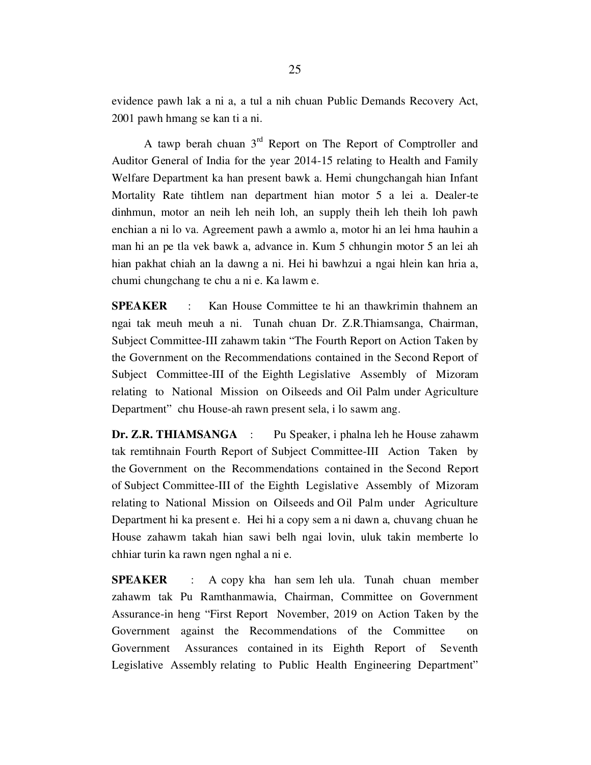evidence pawh lak a ni a, a tul a nih chuan Public Demands Recovery Act, 2001 pawh hmang se kan ti a ni.

A tawp berah chuan  $3<sup>rd</sup>$  Report on The Report of Comptroller and Auditor General of India for the year 2014-15 relating to Health and Family Welfare Department ka han present bawk a. Hemi chungchangah hian Infant Mortality Rate tihtlem nan department hian motor 5 a lei a. Dealer-te dinhmun, motor an neih leh neih loh, an supply theih leh theih loh pawh enchian a ni lo va. Agreement pawh a awmlo a, motor hi an lei hma hauhin a man hi an pe tla vek bawk a, advance in. Kum 5 chhungin motor 5 an lei ah hian pakhat chiah an la dawng a ni. Hei hi bawhzui a ngai hlein kan hria a, chumi chungchang te chu a ni e. Ka lawm e.

SPEAKER : Kan House Committee te hi an thawkrimin thahnem an ngai tak meuh meuh a ni. Tunah chuan Dr. Z.R.Thiamsanga, Chairman, Subject Committee-III zahawm takin "The Fourth Report on Action Taken by the Government on the Recommendations contained in the Second Report of Subject Committee-III of the Eighth Legislative Assembly of Mizoram relating to National Mission on Oilseeds and Oil Palm under Agriculture Department" chu House-ah rawn present sela, i lo sawm ang.

Dr. Z.R. THIAMSANGA : Pu Speaker, i phalna leh he House zahawm tak remtihnain Fourth Report of Subject Committee-III Action Taken by the Government on the Recommendations contained in the Second Report of Subject Committee-III of the Eighth Legislative Assembly of Mizoram relating to National Mission on Oilseeds and Oil Palm under Agriculture Department hi ka present e. Hei hi a copy sem a ni dawn a, chuvang chuan he House zahawm takah hian sawi belh ngai lovin, uluk takin memberte lo chhiar turin ka rawn ngen nghal a ni e.

SPEAKER : A copy kha han sem leh ula. Tunah chuan member zahawm tak Pu Ramthanmawia, Chairman, Committee on Government Assurance-in heng "First Report November, 2019 on Action Taken by the Government against the Recommendations of the Committee on Government Assurances contained in its Eighth Report of Seventh Legislative Assembly relating to Public Health Engineering Department"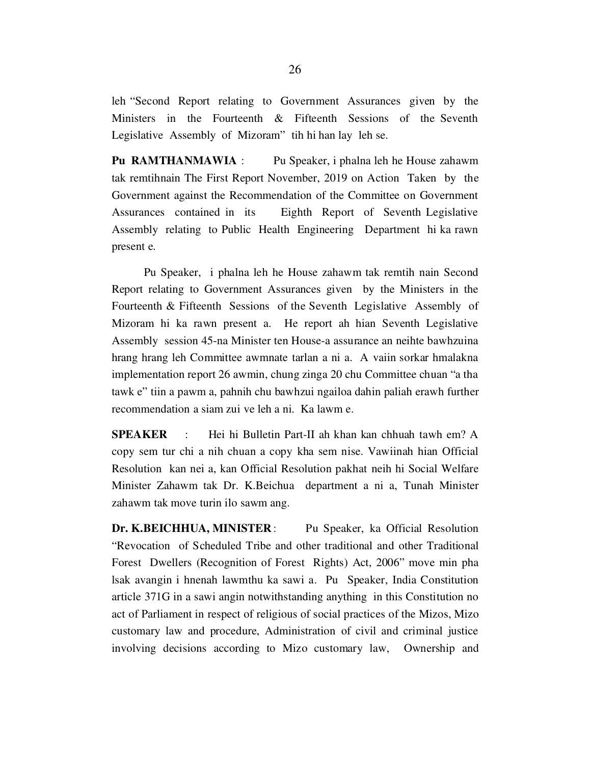leh "Second Report relating to Government Assurances given by the Ministers in the Fourteenth & Fifteenth Sessions of the Seventh Legislative Assembly of Mizoram" tih hi han lay leh se.

Pu RAMTHANMAWIA : Pu Speaker, i phalna leh he House zahawm tak remtihnain The First Report November, 2019 on Action Taken by the Government against the Recommendation of the Committee on Government Assurances contained in its Eighth Report of Seventh Legislative Assembly relating to Public Health Engineering Department hi ka rawn present e.

 Pu Speaker, i phalna leh he House zahawm tak remtih nain Second Report relating to Government Assurances given by the Ministers in the Fourteenth & Fifteenth Sessions of the Seventh Legislative Assembly of Mizoram hi ka rawn present a. He report ah hian Seventh Legislative Assembly session 45-na Minister ten House-a assurance an neihte bawhzuina hrang hrang leh Committee awmnate tarlan a ni a. A vaiin sorkar hmalakna implementation report 26 awmin, chung zinga 20 chu Committee chuan "a tha tawk e" tiin a pawm a, pahnih chu bawhzui ngailoa dahin paliah erawh further recommendation a siam zui ve leh a ni. Ka lawm e.

SPEAKER : Hei hi Bulletin Part-II ah khan kan chhuah tawh em? A copy sem tur chi a nih chuan a copy kha sem nise. Vawiinah hian Official Resolution kan nei a, kan Official Resolution pakhat neih hi Social Welfare Minister Zahawm tak Dr. K.Beichua department a ni a, Tunah Minister zahawm tak move turin ilo sawm ang.

Dr. K.BEICHHUA, MINISTER: Pu Speaker, ka Official Resolution "Revocation of Scheduled Tribe and other traditional and other Traditional Forest Dwellers (Recognition of Forest Rights) Act, 2006" move min pha lsak avangin i hnenah lawmthu ka sawi a. Pu Speaker, India Constitution article 371G in a sawi angin notwithstanding anything in this Constitution no act of Parliament in respect of religious of social practices of the Mizos, Mizo customary law and procedure, Administration of civil and criminal justice involving decisions according to Mizo customary law, Ownership and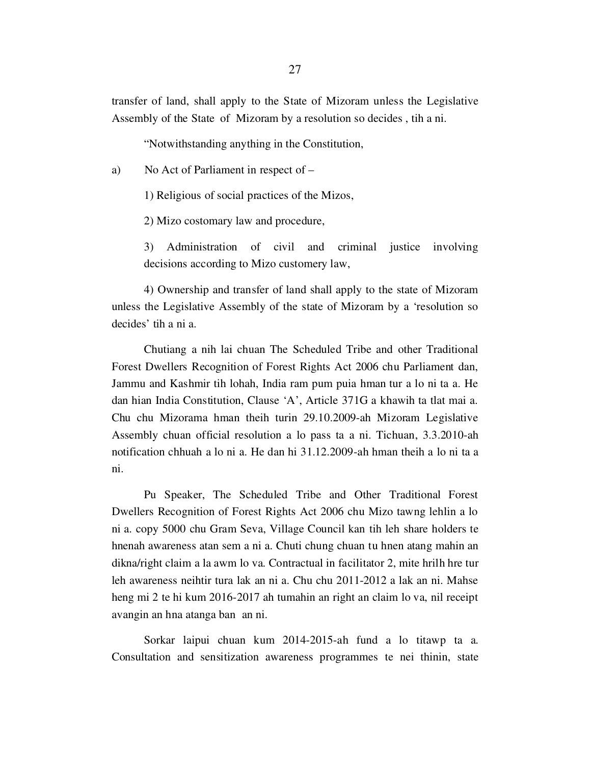transfer of land, shall apply to the State of Mizoram unless the Legislative Assembly of the State of Mizoram by a resolution so decides , tih a ni.

"Notwithstanding anything in the Constitution,

a) No Act of Parliament in respect of –

1) Religious of social practices of the Mizos,

2) Mizo costomary law and procedure,

 3) Administration of civil and criminal justice involving decisions according to Mizo customery law,

 4) Ownership and transfer of land shall apply to the state of Mizoram unless the Legislative Assembly of the state of Mizoram by a 'resolution so decides' tih a ni a.

 Chutiang a nih lai chuan The Scheduled Tribe and other Traditional Forest Dwellers Recognition of Forest Rights Act 2006 chu Parliament dan, Jammu and Kashmir tih lohah, India ram pum puia hman tur a lo ni ta a. He dan hian India Constitution, Clause 'A', Article 371G a khawih ta tlat mai a. Chu chu Mizorama hman theih turin 29.10.2009-ah Mizoram Legislative Assembly chuan official resolution a lo pass ta a ni. Tichuan, 3.3.2010-ah notification chhuah a lo ni a. He dan hi 31.12.2009-ah hman theih a lo ni ta a ni.

 Pu Speaker, The Scheduled Tribe and Other Traditional Forest Dwellers Recognition of Forest Rights Act 2006 chu Mizo tawng lehlin a lo ni a. copy 5000 chu Gram Seva, Village Council kan tih leh share holders te hnenah awareness atan sem a ni a. Chuti chung chuan tu hnen atang mahin an dikna/right claim a la awm lo va. Contractual in facilitator 2, mite hrilh hre tur leh awareness neihtir tura lak an ni a. Chu chu 2011-2012 a lak an ni. Mahse heng mi 2 te hi kum 2016-2017 ah tumahin an right an claim lo va, nil receipt avangin an hna atanga ban an ni.

 Sorkar laipui chuan kum 2014-2015-ah fund a lo titawp ta a. Consultation and sensitization awareness programmes te nei thinin, state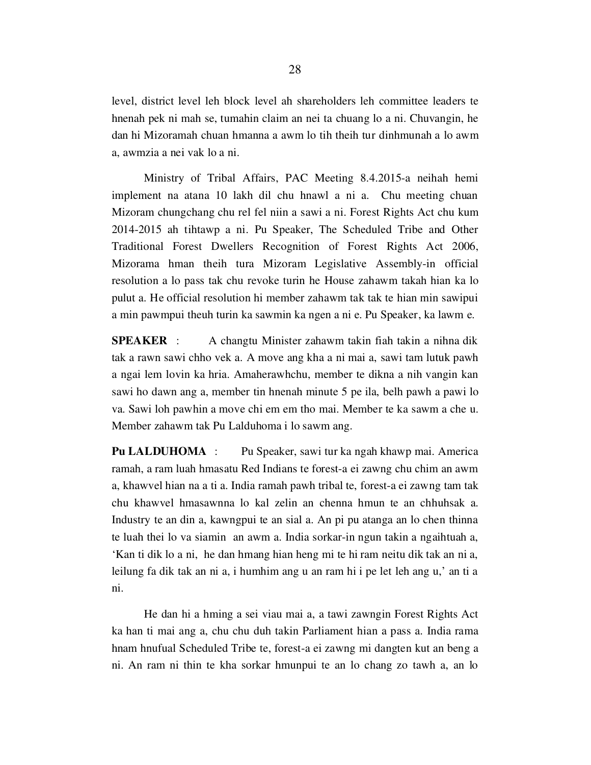level, district level leh block level ah shareholders leh committee leaders te hnenah pek ni mah se, tumahin claim an nei ta chuang lo a ni. Chuvangin, he dan hi Mizoramah chuan hmanna a awm lo tih theih tur dinhmunah a lo awm a, awmzia a nei vak lo a ni.

 Ministry of Tribal Affairs, PAC Meeting 8.4.2015-a neihah hemi implement na atana 10 lakh dil chu hnawl a ni a. Chu meeting chuan Mizoram chungchang chu rel fel niin a sawi a ni. Forest Rights Act chu kum 2014-2015 ah tihtawp a ni. Pu Speaker, The Scheduled Tribe and Other Traditional Forest Dwellers Recognition of Forest Rights Act 2006, Mizorama hman theih tura Mizoram Legislative Assembly-in official resolution a lo pass tak chu revoke turin he House zahawm takah hian ka lo pulut a. He official resolution hi member zahawm tak tak te hian min sawipui a min pawmpui theuh turin ka sawmin ka ngen a ni e. Pu Speaker, ka lawm e.

SPEAKER : A changtu Minister zahawm takin fiah takin a nihna dik tak a rawn sawi chho vek a. A move ang kha a ni mai a, sawi tam lutuk pawh a ngai lem lovin ka hria. Amaherawhchu, member te dikna a nih vangin kan sawi ho dawn ang a, member tin hnenah minute 5 pe ila, belh pawh a pawi lo va. Sawi loh pawhin a move chi em em tho mai. Member te ka sawm a che u. Member zahawm tak Pu Lalduhoma i lo sawm ang.

Pu LALDUHOMA : Pu Speaker, sawi tur ka ngah khawp mai. America ramah, a ram luah hmasatu Red Indians te forest-a ei zawng chu chim an awm a, khawvel hian na a ti a. India ramah pawh tribal te, forest-a ei zawng tam tak chu khawvel hmasawnna lo kal zelin an chenna hmun te an chhuhsak a. Industry te an din a, kawngpui te an sial a. An pi pu atanga an lo chen thinna te luah thei lo va siamin an awm a. India sorkar-in ngun takin a ngaihtuah a, 'Kan ti dik lo a ni, he dan hmang hian heng mi te hi ram neitu dik tak an ni a, leilung fa dik tak an ni a, i humhim ang u an ram hi i pe let leh ang u,' an ti a ni.

 He dan hi a hming a sei viau mai a, a tawi zawngin Forest Rights Act ka han ti mai ang a, chu chu duh takin Parliament hian a pass a. India rama hnam hnufual Scheduled Tribe te, forest-a ei zawng mi dangten kut an beng a ni. An ram ni thin te kha sorkar hmunpui te an lo chang zo tawh a, an lo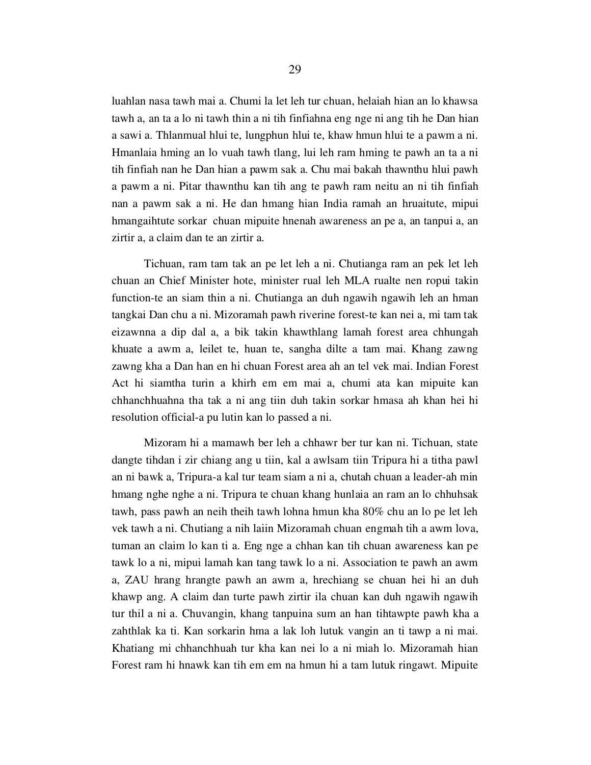luahlan nasa tawh mai a. Chumi la let leh tur chuan, helaiah hian an lo khawsa tawh a, an ta a lo ni tawh thin a ni tih finfiahna eng nge ni ang tih he Dan hian a sawi a. Thlanmual hlui te, lungphun hlui te, khaw hmun hlui te a pawm a ni. Hmanlaia hming an lo vuah tawh tlang, lui leh ram hming te pawh an ta a ni tih finfiah nan he Dan hian a pawm sak a. Chu mai bakah thawnthu hlui pawh a pawm a ni. Pitar thawnthu kan tih ang te pawh ram neitu an ni tih finfiah nan a pawm sak a ni. He dan hmang hian India ramah an hruaitute, mipui hmangaihtute sorkar chuan mipuite hnenah awareness an pe a, an tanpui a, an zirtir a, a claim dan te an zirtir a.

 Tichuan, ram tam tak an pe let leh a ni. Chutianga ram an pek let leh chuan an Chief Minister hote, minister rual leh MLA rualte nen ropui takin function-te an siam thin a ni. Chutianga an duh ngawih ngawih leh an hman tangkai Dan chu a ni. Mizoramah pawh riverine forest-te kan nei a, mi tam tak eizawnna a dip dal a, a bik takin khawthlang lamah forest area chhungah khuate a awm a, leilet te, huan te, sangha dilte a tam mai. Khang zawng zawng kha a Dan han en hi chuan Forest area ah an tel vek mai. Indian Forest Act hi siamtha turin a khirh em em mai a, chumi ata kan mipuite kan chhanchhuahna tha tak a ni ang tiin duh takin sorkar hmasa ah khan hei hi resolution official-a pu lutin kan lo passed a ni.

 Mizoram hi a mamawh ber leh a chhawr ber tur kan ni. Tichuan, state dangte tihdan i zir chiang ang u tiin, kal a awlsam tiin Tripura hi a titha pawl an ni bawk a, Tripura-a kal tur team siam a ni a, chutah chuan a leader-ah min hmang nghe nghe a ni. Tripura te chuan khang hunlaia an ram an lo chhuhsak tawh, pass pawh an neih theih tawh lohna hmun kha 80% chu an lo pe let leh vek tawh a ni. Chutiang a nih laiin Mizoramah chuan engmah tih a awm lova, tuman an claim lo kan ti a. Eng nge a chhan kan tih chuan awareness kan pe tawk lo a ni, mipui lamah kan tang tawk lo a ni. Association te pawh an awm a, ZAU hrang hrangte pawh an awm a, hrechiang se chuan hei hi an duh khawp ang. A claim dan turte pawh zirtir ila chuan kan duh ngawih ngawih tur thil a ni a. Chuvangin, khang tanpuina sum an han tihtawpte pawh kha a zahthlak ka ti. Kan sorkarin hma a lak loh lutuk vangin an ti tawp a ni mai. Khatiang mi chhanchhuah tur kha kan nei lo a ni miah lo. Mizoramah hian Forest ram hi hnawk kan tih em em na hmun hi a tam lutuk ringawt. Mipuite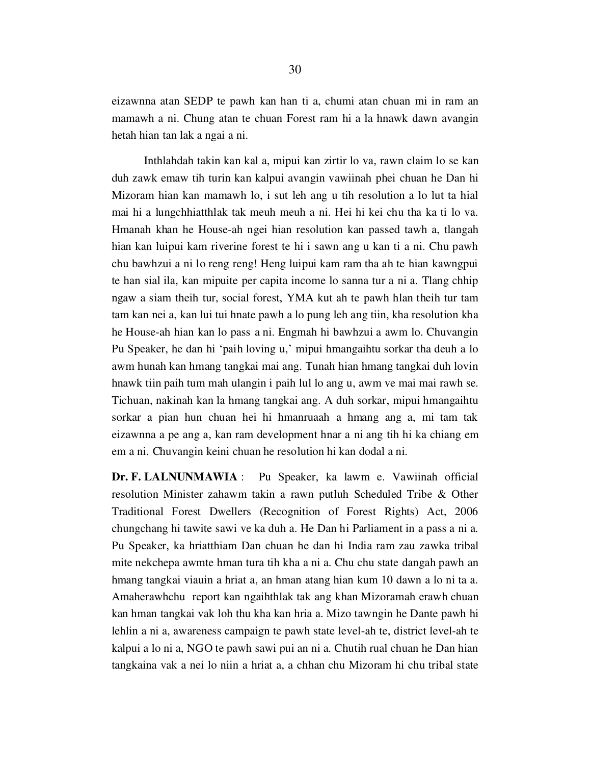eizawnna atan SEDP te pawh kan han ti a, chumi atan chuan mi in ram an mamawh a ni. Chung atan te chuan Forest ram hi a la hnawk dawn avangin hetah hian tan lak a ngai a ni.

 Inthlahdah takin kan kal a, mipui kan zirtir lo va, rawn claim lo se kan duh zawk emaw tih turin kan kalpui avangin vawiinah phei chuan he Dan hi Mizoram hian kan mamawh lo, i sut leh ang u tih resolution a lo lut ta hial mai hi a lungchhiatthlak tak meuh meuh a ni. Hei hi kei chu tha ka ti lo va. Hmanah khan he House-ah ngei hian resolution kan passed tawh a, tlangah hian kan luipui kam riverine forest te hi i sawn ang u kan ti a ni. Chu pawh chu bawhzui a ni lo reng reng! Heng luipui kam ram tha ah te hian kawngpui te han sial ila, kan mipuite per capita income lo sanna tur a ni a. Tlang chhip ngaw a siam theih tur, social forest, YMA kut ah te pawh hlan theih tur tam tam kan nei a, kan lui tui hnate pawh a lo pung leh ang tiin, kha resolution kha he House-ah hian kan lo pass a ni. Engmah hi bawhzui a awm lo. Chuvangin Pu Speaker, he dan hi 'paih loving u,' mipui hmangaihtu sorkar tha deuh a lo awm hunah kan hmang tangkai mai ang. Tunah hian hmang tangkai duh lovin hnawk tiin paih tum mah ulangin i paih lul lo ang u, awm ve mai mai rawh se. Tichuan, nakinah kan la hmang tangkai ang. A duh sorkar, mipui hmangaihtu sorkar a pian hun chuan hei hi hmanruaah a hmang ang a, mi tam tak eizawnna a pe ang a, kan ram development hnar a ni ang tih hi ka chiang em em a ni. Chuvangin keini chuan he resolution hi kan dodal a ni.

Dr. F. LALNUNMAWIA : Pu Speaker, ka lawm e. Vawiinah official resolution Minister zahawm takin a rawn putluh Scheduled Tribe & Other Traditional Forest Dwellers (Recognition of Forest Rights) Act, 2006 chungchang hi tawite sawi ve ka duh a. He Dan hi Parliament in a pass a ni a. Pu Speaker, ka hriatthiam Dan chuan he dan hi India ram zau zawka tribal mite nekchepa awmte hman tura tih kha a ni a. Chu chu state dangah pawh an hmang tangkai viauin a hriat a, an hman atang hian kum 10 dawn a lo ni ta a. Amaherawhchu report kan ngaihthlak tak ang khan Mizoramah erawh chuan kan hman tangkai vak loh thu kha kan hria a. Mizo tawngin he Dante pawh hi lehlin a ni a, awareness campaign te pawh state level-ah te, district level-ah te kalpui a lo ni a, NGO te pawh sawi pui an ni a. Chutih rual chuan he Dan hian tangkaina vak a nei lo niin a hriat a, a chhan chu Mizoram hi chu tribal state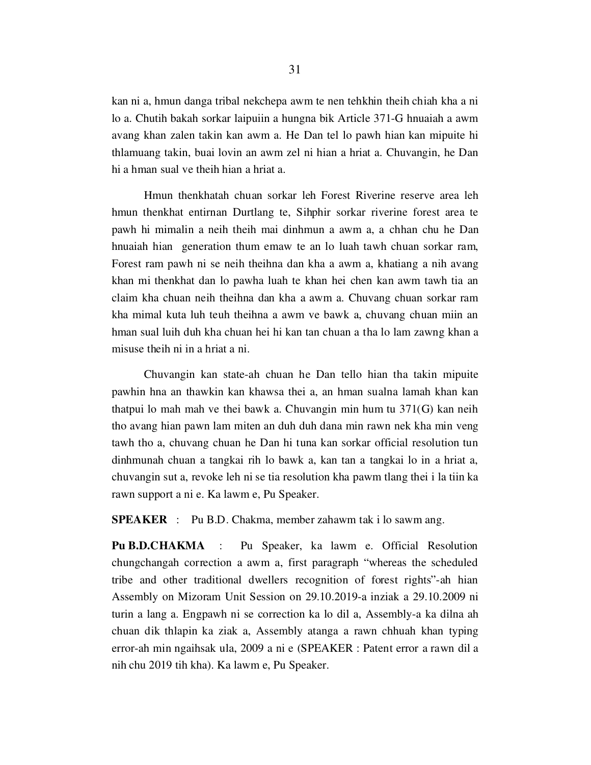kan ni a, hmun danga tribal nekchepa awm te nen tehkhin theih chiah kha a ni lo a. Chutih bakah sorkar laipuiin a hungna bik Article 371-G hnuaiah a awm avang khan zalen takin kan awm a. He Dan tel lo pawh hian kan mipuite hi thlamuang takin, buai lovin an awm zel ni hian a hriat a. Chuvangin, he Dan hi a hman sual ve theih hian a hriat a.

 Hmun thenkhatah chuan sorkar leh Forest Riverine reserve area leh hmun thenkhat entirnan Durtlang te, Sihphir sorkar riverine forest area te pawh hi mimalin a neih theih mai dinhmun a awm a, a chhan chu he Dan hnuaiah hian generation thum emaw te an lo luah tawh chuan sorkar ram, Forest ram pawh ni se neih theihna dan kha a awm a, khatiang a nih avang khan mi thenkhat dan lo pawha luah te khan hei chen kan awm tawh tia an claim kha chuan neih theihna dan kha a awm a. Chuvang chuan sorkar ram kha mimal kuta luh teuh theihna a awm ve bawk a, chuvang chuan miin an hman sual luih duh kha chuan hei hi kan tan chuan a tha lo lam zawng khan a misuse theih ni in a hriat a ni.

 Chuvangin kan state-ah chuan he Dan tello hian tha takin mipuite pawhin hna an thawkin kan khawsa thei a, an hman sualna lamah khan kan thatpui lo mah mah ve thei bawk a. Chuvangin min hum tu 371(G) kan neih tho avang hian pawn lam miten an duh duh dana min rawn nek kha min veng tawh tho a, chuvang chuan he Dan hi tuna kan sorkar official resolution tun dinhmunah chuan a tangkai rih lo bawk a, kan tan a tangkai lo in a hriat a, chuvangin sut a, revoke leh ni se tia resolution kha pawm tlang thei i la tiin ka rawn support a ni e. Ka lawm e, Pu Speaker.

SPEAKER : Pu B.D. Chakma, member zahawm tak i lo sawm ang.

Pu B.D.CHAKMA : Pu Speaker, ka lawm e. Official Resolution chungchangah correction a awm a, first paragraph "whereas the scheduled tribe and other traditional dwellers recognition of forest rights"-ah hian Assembly on Mizoram Unit Session on 29.10.2019-a inziak a 29.10.2009 ni turin a lang a. Engpawh ni se correction ka lo dil a, Assembly-a ka dilna ah chuan dik thlapin ka ziak a, Assembly atanga a rawn chhuah khan typing error-ah min ngaihsak ula, 2009 a ni e (SPEAKER : Patent error a rawn dil a nih chu 2019 tih kha). Ka lawm e, Pu Speaker.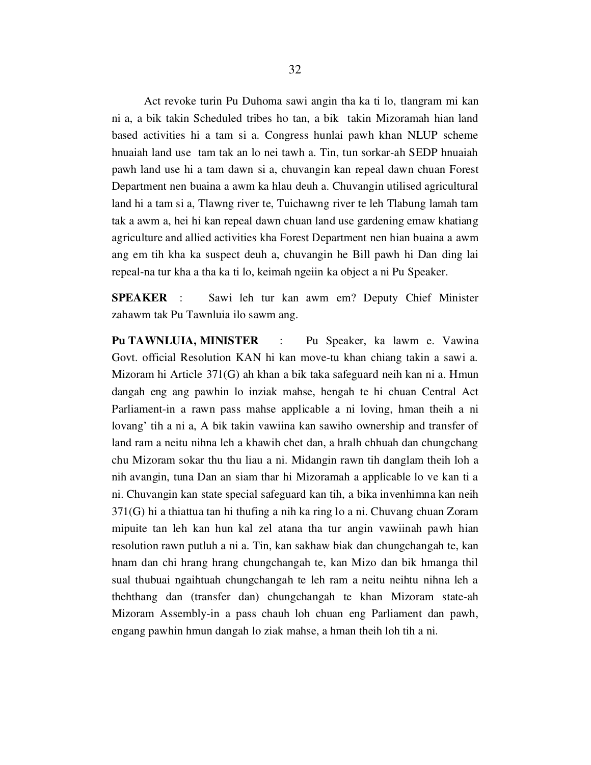Act revoke turin Pu Duhoma sawi angin tha ka ti lo, tlangram mi kan ni a, a bik takin Scheduled tribes ho tan, a bik takin Mizoramah hian land based activities hi a tam si a. Congress hunlai pawh khan NLUP scheme hnuaiah land use tam tak an lo nei tawh a. Tin, tun sorkar-ah SEDP hnuaiah pawh land use hi a tam dawn si a, chuvangin kan repeal dawn chuan Forest Department nen buaina a awm ka hlau deuh a. Chuvangin utilised agricultural land hi a tam si a, Tlawng river te, Tuichawng river te leh Tlabung lamah tam tak a awm a, hei hi kan repeal dawn chuan land use gardening emaw khatiang agriculture and allied activities kha Forest Department nen hian buaina a awm ang em tih kha ka suspect deuh a, chuvangin he Bill pawh hi Dan ding lai repeal-na tur kha a tha ka ti lo, keimah ngeiin ka object a ni Pu Speaker.

SPEAKER : Sawi leh tur kan awm em? Deputy Chief Minister zahawm tak Pu Tawnluia ilo sawm ang.

Pu TAWNLUIA, MINISTER : Pu Speaker, ka lawm e. Vawina Govt. official Resolution KAN hi kan move-tu khan chiang takin a sawi a. Mizoram hi Article 371(G) ah khan a bik taka safeguard neih kan ni a. Hmun dangah eng ang pawhin lo inziak mahse, hengah te hi chuan Central Act Parliament-in a rawn pass mahse applicable a ni loving, hman theih a ni lovang' tih a ni a, A bik takin vawiina kan sawiho ownership and transfer of land ram a neitu nihna leh a khawih chet dan, a hralh chhuah dan chungchang chu Mizoram sokar thu thu liau a ni. Midangin rawn tih danglam theih loh a nih avangin, tuna Dan an siam thar hi Mizoramah a applicable lo ve kan ti a ni. Chuvangin kan state special safeguard kan tih, a bika invenhimna kan neih 371(G) hi a thiattua tan hi thufing a nih ka ring lo a ni. Chuvang chuan Zoram mipuite tan leh kan hun kal zel atana tha tur angin vawiinah pawh hian resolution rawn putluh a ni a. Tin, kan sakhaw biak dan chungchangah te, kan hnam dan chi hrang hrang chungchangah te, kan Mizo dan bik hmanga thil sual thubuai ngaihtuah chungchangah te leh ram a neitu neihtu nihna leh a thehthang dan (transfer dan) chungchangah te khan Mizoram state-ah Mizoram Assembly-in a pass chauh loh chuan eng Parliament dan pawh, engang pawhin hmun dangah lo ziak mahse, a hman theih loh tih a ni.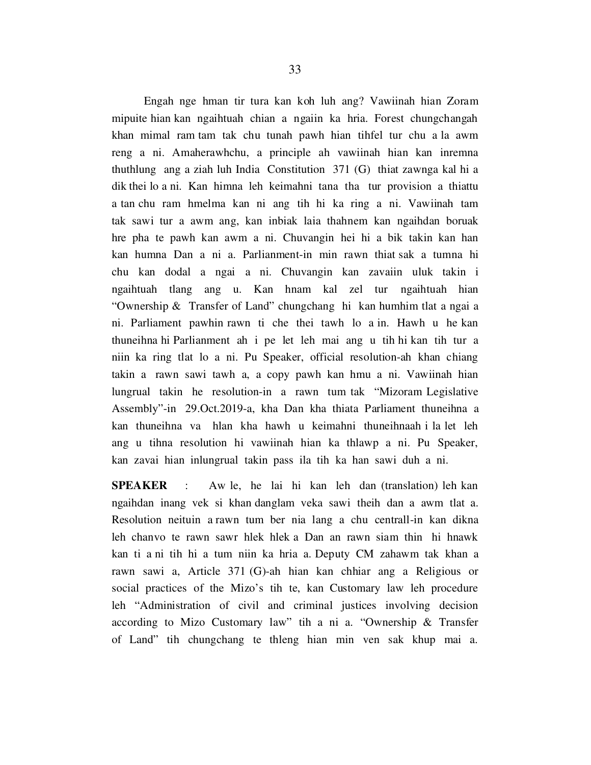Engah nge hman tir tura kan koh luh ang? Vawiinah hian Zoram mipuite hian kan ngaihtuah chian a ngaiin ka hria. Forest chungchangah khan mimal ram tam tak chu tunah pawh hian tihfel tur chu a la awm reng a ni. Amaherawhchu, a principle ah vawiinah hian kan inremna thuthlung ang a ziah luh India Constitution 371 (G) thiat zawnga kal hi a dik thei lo a ni. Kan himna leh keimahni tana tha tur provision a thiattu a tan chu ram hmelma kan ni ang tih hi ka ring a ni. Vawiinah tam tak sawi tur a awm ang, kan inbiak laia thahnem kan ngaihdan boruak hre pha te pawh kan awm a ni. Chuvangin hei hi a bik takin kan han kan humna Dan a ni a. Parlianment-in min rawn thiat sak a tumna hi chu kan dodal a ngai a ni. Chuvangin kan zavaiin uluk takin i ngaihtuah tlang ang u. Kan hnam kal zel tur ngaihtuah hian "Ownership & Transfer of Land" chungchang hi kan humhim tlat a ngai a ni. Parliament pawhin rawn ti che thei tawh lo a in. Hawh u he kan thuneihna hi Parlianment ah i pe let leh mai ang u tih hi kan tih tur a niin ka ring tlat lo a ni. Pu Speaker, official resolution-ah khan chiang takin a rawn sawi tawh a, a copy pawh kan hmu a ni. Vawiinah hian lungrual takin he resolution-in a rawn tum tak "Mizoram Legislative Assembly"-in 29.Oct.2019-a, kha Dan kha thiata Parliament thuneihna a kan thuneihna va hlan kha hawh u keimahni thuneihnaah i la let leh ang u tihna resolution hi vawiinah hian ka thlawp a ni. Pu Speaker, kan zavai hian inlungrual takin pass ila tih ka han sawi duh a ni.

SPEAKER : Aw le, he lai hi kan leh dan (translation) leh kan ngaihdan inang vek si khan danglam veka sawi theih dan a awm tlat a. Resolution neituin a rawn tum ber nia lang a chu centrall-in kan dikna leh chanvo te rawn sawr hlek hlek a Dan an rawn siam thin hi hnawk kan ti a ni tih hi a tum niin ka hria a. Deputy CM zahawm tak khan a rawn sawi a, Article 371 (G)-ah hian kan chhiar ang a Religious or social practices of the Mizo's tih te, kan Customary law leh procedure leh "Administration of civil and criminal justices involving decision according to Mizo Customary law" tih a ni a. "Ownership & Transfer of Land" tih chungchang te thleng hian min ven sak khup mai a.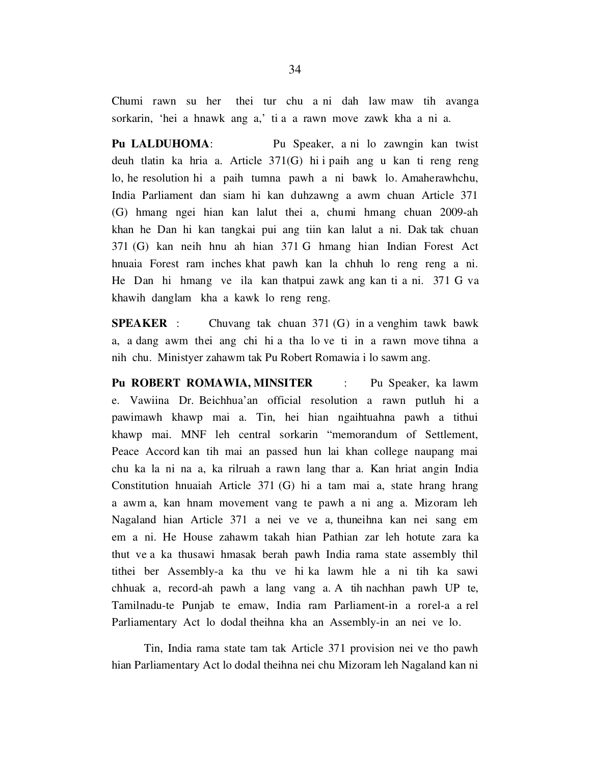Chumi rawn su her thei tur chu a ni dah law maw tih avanga sorkarin, 'hei a hnawk ang a,' ti a a rawn move zawk kha a ni a.

Pu LALDUHOMA: Pu Speaker, a ni lo zawngin kan twist deuh tlatin ka hria a. Article 371(G) hi i paih ang u kan ti reng reng lo, he resolution hi a paih tumna pawh a ni bawk lo. Amaherawhchu, India Parliament dan siam hi kan duhzawng a awm chuan Article 371 (G) hmang ngei hian kan lalut thei a, chumi hmang chuan 2009-ah khan he Dan hi kan tangkai pui ang tiin kan lalut a ni. Dak tak chuan 371 (G) kan neih hnu ah hian 371 G hmang hian Indian Forest Act hnuaia Forest ram inches khat pawh kan la chhuh lo reng reng a ni. He Dan hi hmang ve ila kan thatpui zawk ang kan ti a ni. 371 G va khawih danglam kha a kawk lo reng reng.

**SPEAKER** : Chuvang tak chuan  $371$  (G) in a venghim tawk bawk a, a dang awm thei ang chi hi a tha lo ve ti in a rawn move tihna a nih chu. Ministyer zahawm tak Pu Robert Romawia i lo sawm ang.

Pu ROBERT ROMAWIA, MINSITER : Pu Speaker, ka lawm e. Vawiina Dr. Beichhua'an official resolution a rawn putluh hi a pawimawh khawp mai a. Tin, hei hian ngaihtuahna pawh a tithui khawp mai. MNF leh central sorkarin "memorandum of Settlement, Peace Accord kan tih mai an passed hun lai khan college naupang mai chu ka la ni na a, ka rilruah a rawn lang thar a. Kan hriat angin India Constitution hnuaiah Article 371 (G) hi a tam mai a, state hrang hrang a awm a, kan hnam movement vang te pawh a ni ang a. Mizoram leh Nagaland hian Article 371 a nei ve ve a, thuneihna kan nei sang em em a ni. He House zahawm takah hian Pathian zar leh hotute zara ka thut ve a ka thusawi hmasak berah pawh India rama state assembly thil tithei ber Assembly-a ka thu ve hi ka lawm hle a ni tih ka sawi chhuak a, record-ah pawh a lang vang a. A tih nachhan pawh UP te, Tamilnadu-te Punjab te emaw, India ram Parliament-in a rorel-a a rel Parliamentary Act lo dodal theihna kha an Assembly-in an nei ve lo.

 Tin, India rama state tam tak Article 371 provision nei ve tho pawh hian Parliamentary Act lo dodal theihna nei chu Mizoram leh Nagaland kan ni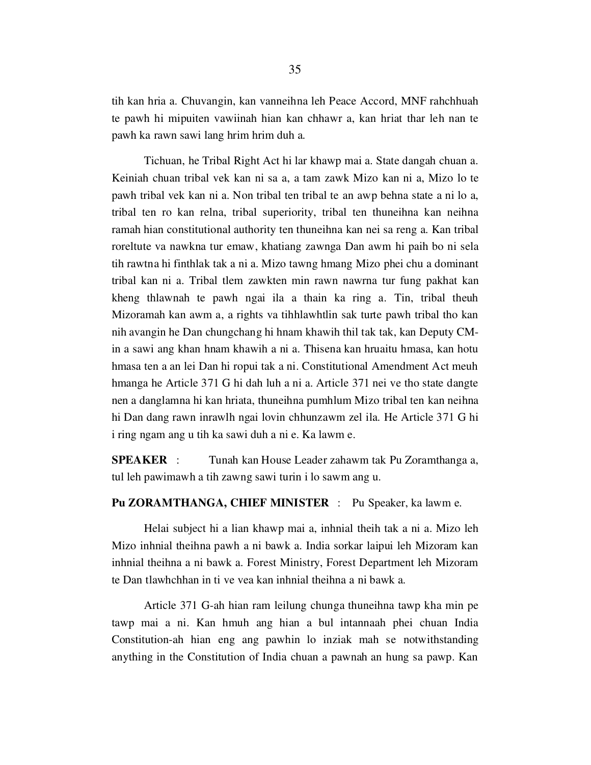tih kan hria a. Chuvangin, kan vanneihna leh Peace Accord, MNF rahchhuah te pawh hi mipuiten vawiinah hian kan chhawr a, kan hriat thar leh nan te pawh ka rawn sawi lang hrim hrim duh a.

 Tichuan, he Tribal Right Act hi lar khawp mai a. State dangah chuan a. Keiniah chuan tribal vek kan ni sa a, a tam zawk Mizo kan ni a, Mizo lo te pawh tribal vek kan ni a. Non tribal ten tribal te an awp behna state a ni lo a, tribal ten ro kan relna, tribal superiority, tribal ten thuneihna kan neihna ramah hian constitutional authority ten thuneihna kan nei sa reng a. Kan tribal roreltute va nawkna tur emaw, khatiang zawnga Dan awm hi paih bo ni sela tih rawtna hi finthlak tak a ni a. Mizo tawng hmang Mizo phei chu a dominant tribal kan ni a. Tribal tlem zawkten min rawn nawrna tur fung pakhat kan kheng thlawnah te pawh ngai ila a thain ka ring a. Tin, tribal theuh Mizoramah kan awm a, a rights va tihhlawhtlin sak turte pawh tribal tho kan nih avangin he Dan chungchang hi hnam khawih thil tak tak, kan Deputy CMin a sawi ang khan hnam khawih a ni a. Thisena kan hruaitu hmasa, kan hotu hmasa ten a an lei Dan hi ropui tak a ni. Constitutional Amendment Act meuh hmanga he Article 371 G hi dah luh a ni a. Article 371 nei ve tho state dangte nen a danglamna hi kan hriata, thuneihna pumhlum Mizo tribal ten kan neihna hi Dan dang rawn inrawlh ngai lovin chhunzawm zel ila. He Article 371 G hi i ring ngam ang u tih ka sawi duh a ni e. Ka lawm e.

SPEAKER : Tunah kan House Leader zahawm tak Pu Zoramthanga a, tul leh pawimawh a tih zawng sawi turin i lo sawm ang u.

Pu ZORAMTHANGA, CHIEF MINISTER : Pu Speaker, ka lawm e.

 Helai subject hi a lian khawp mai a, inhnial theih tak a ni a. Mizo leh Mizo inhnial theihna pawh a ni bawk a. India sorkar laipui leh Mizoram kan inhnial theihna a ni bawk a. Forest Ministry, Forest Department leh Mizoram te Dan tlawhchhan in ti ve vea kan inhnial theihna a ni bawk a.

 Article 371 G-ah hian ram leilung chunga thuneihna tawp kha min pe tawp mai a ni. Kan hmuh ang hian a bul intannaah phei chuan India Constitution-ah hian eng ang pawhin lo inziak mah se notwithstanding anything in the Constitution of India chuan a pawnah an hung sa pawp. Kan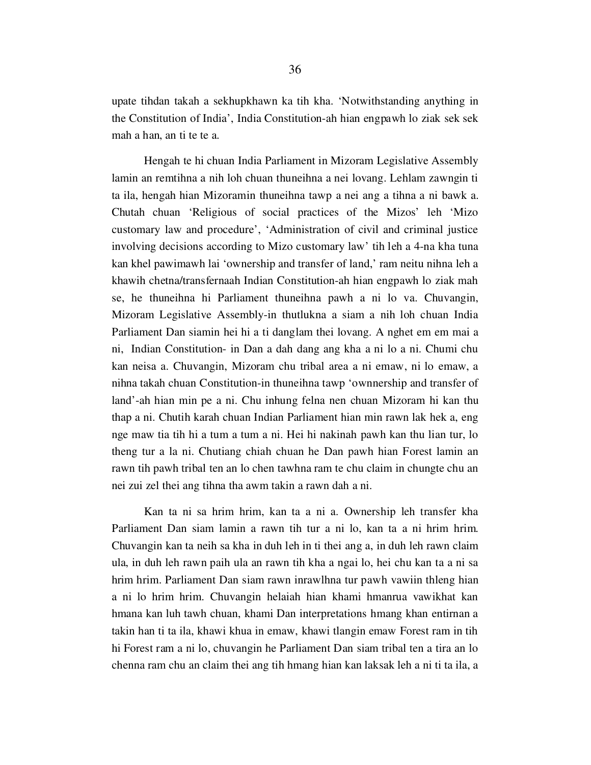upate tihdan takah a sekhupkhawn ka tih kha. 'Notwithstanding anything in the Constitution of India', India Constitution-ah hian engpawh lo ziak sek sek mah a han, an ti te te a.

 Hengah te hi chuan India Parliament in Mizoram Legislative Assembly lamin an remtihna a nih loh chuan thuneihna a nei lovang. Lehlam zawngin ti ta ila, hengah hian Mizoramin thuneihna tawp a nei ang a tihna a ni bawk a. Chutah chuan 'Religious of social practices of the Mizos' leh 'Mizo customary law and procedure', 'Administration of civil and criminal justice involving decisions according to Mizo customary law' tih leh a 4-na kha tuna kan khel pawimawh lai 'ownership and transfer of land,' ram neitu nihna leh a khawih chetna/transfernaah Indian Constitution-ah hian engpawh lo ziak mah se, he thuneihna hi Parliament thuneihna pawh a ni lo va. Chuvangin, Mizoram Legislative Assembly-in thutlukna a siam a nih loh chuan India Parliament Dan siamin hei hi a ti danglam thei lovang. A nghet em em mai a ni, Indian Constitution- in Dan a dah dang ang kha a ni lo a ni. Chumi chu kan neisa a. Chuvangin, Mizoram chu tribal area a ni emaw, ni lo emaw, a nihna takah chuan Constitution-in thuneihna tawp 'ownnership and transfer of land'-ah hian min pe a ni. Chu inhung felna nen chuan Mizoram hi kan thu thap a ni. Chutih karah chuan Indian Parliament hian min rawn lak hek a, eng nge maw tia tih hi a tum a tum a ni. Hei hi nakinah pawh kan thu lian tur, lo theng tur a la ni. Chutiang chiah chuan he Dan pawh hian Forest lamin an rawn tih pawh tribal ten an lo chen tawhna ram te chu claim in chungte chu an nei zui zel thei ang tihna tha awm takin a rawn dah a ni.

 Kan ta ni sa hrim hrim, kan ta a ni a. Ownership leh transfer kha Parliament Dan siam lamin a rawn tih tur a ni lo, kan ta a ni hrim hrim. Chuvangin kan ta neih sa kha in duh leh in ti thei ang a, in duh leh rawn claim ula, in duh leh rawn paih ula an rawn tih kha a ngai lo, hei chu kan ta a ni sa hrim hrim. Parliament Dan siam rawn inrawlhna tur pawh vawiin thleng hian a ni lo hrim hrim. Chuvangin helaiah hian khami hmanrua vawikhat kan hmana kan luh tawh chuan, khami Dan interpretations hmang khan entirnan a takin han ti ta ila, khawi khua in emaw, khawi tlangin emaw Forest ram in tih hi Forest ram a ni lo, chuvangin he Parliament Dan siam tribal ten a tira an lo chenna ram chu an claim thei ang tih hmang hian kan laksak leh a ni ti ta ila, a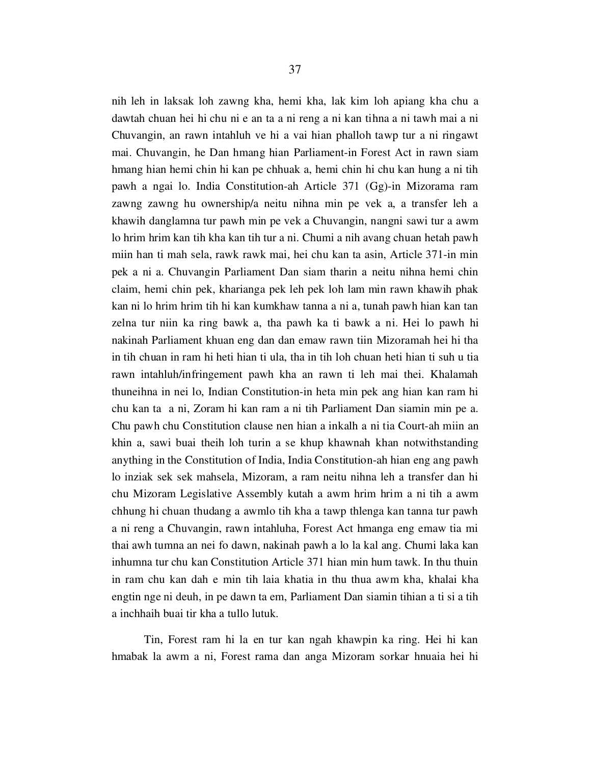nih leh in laksak loh zawng kha, hemi kha, lak kim loh apiang kha chu a dawtah chuan hei hi chu ni e an ta a ni reng a ni kan tihna a ni tawh mai a ni Chuvangin, an rawn intahluh ve hi a vai hian phalloh tawp tur a ni ringawt mai. Chuvangin, he Dan hmang hian Parliament-in Forest Act in rawn siam hmang hian hemi chin hi kan pe chhuak a, hemi chin hi chu kan hung a ni tih pawh a ngai lo. India Constitution-ah Article 371 (Gg)-in Mizorama ram zawng zawng hu ownership/a neitu nihna min pe vek a, a transfer leh a khawih danglamna tur pawh min pe vek a Chuvangin, nangni sawi tur a awm lo hrim hrim kan tih kha kan tih tur a ni. Chumi a nih avang chuan hetah pawh miin han ti mah sela, rawk rawk mai, hei chu kan ta asin, Article 371-in min pek a ni a. Chuvangin Parliament Dan siam tharin a neitu nihna hemi chin claim, hemi chin pek, kharianga pek leh pek loh lam min rawn khawih phak kan ni lo hrim hrim tih hi kan kumkhaw tanna a ni a, tunah pawh hian kan tan zelna tur niin ka ring bawk a, tha pawh ka ti bawk a ni. Hei lo pawh hi nakinah Parliament khuan eng dan dan emaw rawn tiin Mizoramah hei hi tha in tih chuan in ram hi heti hian ti ula, tha in tih loh chuan heti hian ti suh u tia rawn intahluh/infringement pawh kha an rawn ti leh mai thei. Khalamah thuneihna in nei lo, Indian Constitution-in heta min pek ang hian kan ram hi chu kan ta a ni, Zoram hi kan ram a ni tih Parliament Dan siamin min pe a. Chu pawh chu Constitution clause nen hian a inkalh a ni tia Court-ah miin an khin a, sawi buai theih loh turin a se khup khawnah khan notwithstanding anything in the Constitution of India, India Constitution-ah hian eng ang pawh lo inziak sek sek mahsela, Mizoram, a ram neitu nihna leh a transfer dan hi chu Mizoram Legislative Assembly kutah a awm hrim hrim a ni tih a awm chhung hi chuan thudang a awmlo tih kha a tawp thlenga kan tanna tur pawh a ni reng a Chuvangin, rawn intahluha, Forest Act hmanga eng emaw tia mi thai awh tumna an nei fo dawn, nakinah pawh a lo la kal ang. Chumi laka kan inhumna tur chu kan Constitution Article 371 hian min hum tawk. In thu thuin in ram chu kan dah e min tih laia khatia in thu thua awm kha, khalai kha engtin nge ni deuh, in pe dawn ta em, Parliament Dan siamin tihian a ti si a tih a inchhaih buai tir kha a tullo lutuk.

 Tin, Forest ram hi la en tur kan ngah khawpin ka ring. Hei hi kan hmabak la awm a ni, Forest rama dan anga Mizoram sorkar hnuaia hei hi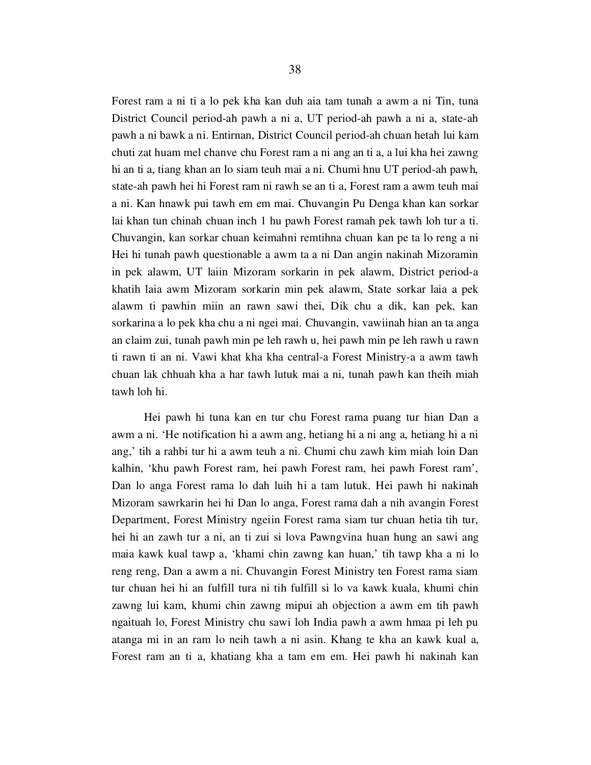Forest ram a ni ti a lo pek kha kan duh aia tam tunah a awm a ni Tin, tuna District Council period-ah pawh a ni a, UT period-ah pawh a ni a, state-ah pawh a ni bawk a ni. Entirnan, District Council period-ah chuan hetah lui kam chuti zat huam mel chanve chu Forest ram a ni ang an ti a, a lui kha hei zawng hi an ti a, tiang khan an lo siam teuh mai a ni. Chumi hnu UT period-ah pawh, state-ah pawh hei hi Forest ram ni rawh se an ti a, Forest ram a awm teuh mai a ni. Kan hnawk pui tawh em em mai. Chuvangin Pu Denga khan kan sorkar lai khan tun chinah chuan inch 1 hu pawh Forest ramah pek tawh loh tur a ti. Chuvangin, kan sorkar chuan keimahni remtihna chuan kan pe ta lo reng a ni Hei hi tunah pawh questionable a awm ta a ni Dan angin nakinah Mizoramin in pek alawm, UT laiin Mizoram sorkarin in pek alawm, District period-a khatih laia awm Mizoram sorkarin min pek alawm, State sorkar laia a pek alawm ti pawhin miin an rawn sawi thei, Dik chu a dik, kan pek, kan sorkarina a lo pek kha chu a ni ngei mai. Chuvangin, vawiinah hian an ta anga an claim zui, tunah pawh min pe leh rawh u, hei pawh min pe leh rawh u rawn ti rawn ti an ni. Vawi khat kha kha central-a Forest Ministry-a a awm tawh chuan lak chhuah kha a har tawh lutuk mai a ni, tunah pawh kan theih miah tawh loh hi.

 Hei pawh hi tuna kan en tur chu Forest rama puang tur hian Dan a awm a ni. 'He notification hi a awm ang, hetiang hi a ni ang a, hetiang hi a ni ang,' tih a rahbi tur hi a awm teuh a ni. Chumi chu zawh kim miah loin Dan kalhin, 'khu pawh Forest ram, hei pawh Forest ram, hei pawh Forest ram', Dan lo anga Forest rama lo dah luih hi a tam lutuk. Hei pawh hi nakinah Mizoram sawrkarin hei hi Dan lo anga, Forest rama dah a nih avangin Forest Department, Forest Ministry ngeiin Forest rama siam tur chuan hetia tih tur, hei hi an zawh tur a ni, an ti zui si lova Pawngvina huan hung an sawi ang maia kawk kual tawp a, 'khami chin zawng kan huan,' tih tawp kha a ni lo reng reng, Dan a awm a ni. Chuvangin Forest Ministry ten Forest rama siam tur chuan hei hi an fulfill tura ni tih fulfill si lo va kawk kuala, khumi chin zawng lui kam, khumi chin zawng mipui ah objection a awm em tih pawh ngaituah lo, Forest Ministry chu sawi loh India pawh a awm hmaa pi leh pu atanga mi in an ram lo neih tawh a ni asin. Khang te kha an kawk kual a, Forest ram an ti a, khatiang kha a tam em em. Hei pawh hi nakinah kan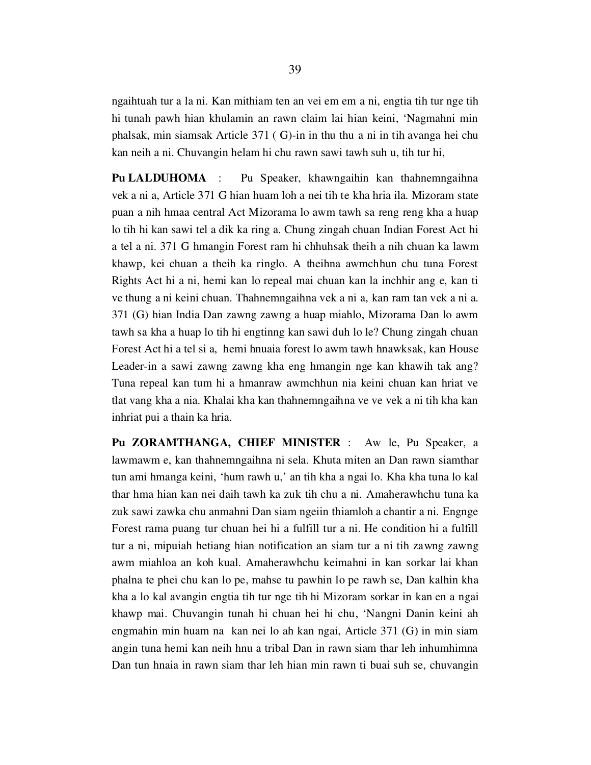ngaihtuah tur a la ni. Kan mithiam ten an vei em em a ni, engtia tih tur nge tih hi tunah pawh hian khulamin an rawn claim lai hian keini, 'Nagmahni min phalsak, min siamsak Article 371 ( G)-in in thu thu a ni in tih avanga hei chu kan neih a ni. Chuvangin helam hi chu rawn sawi tawh suh u, tih tur hi,

Pu LALDUHOMA : Pu Speaker, khawngaihin kan thahnemngaihna vek a ni a, Article 371 G hian huam loh a nei tih te kha hria ila. Mizoram state puan a nih hmaa central Act Mizorama lo awm tawh sa reng reng kha a huap lo tih hi kan sawi tel a dik ka ring a. Chung zingah chuan Indian Forest Act hi a tel a ni. 371 G hmangin Forest ram hi chhuhsak theih a nih chuan ka lawm khawp, kei chuan a theih ka ringlo. A theihna awmchhun chu tuna Forest Rights Act hi a ni, hemi kan lo repeal mai chuan kan la inchhir ang e, kan ti ve thung a ni keini chuan. Thahnemngaihna vek a ni a, kan ram tan vek a ni a. 371 (G) hian India Dan zawng zawng a huap miahlo, Mizorama Dan lo awm tawh sa kha a huap lo tih hi engtinng kan sawi duh lo le? Chung zingah chuan Forest Act hi a tel si a, hemi hnuaia forest lo awm tawh hnawksak, kan House Leader-in a sawi zawng zawng kha eng hmangin nge kan khawih tak ang? Tuna repeal kan tum hi a hmanraw awmchhun nia keini chuan kan hriat ve tlat vang kha a nia. Khalai kha kan thahnemngaihna ve ve vek a ni tih kha kan inhriat pui a thain ka hria.

Pu ZORAMTHANGA, CHIEF MINISTER : Aw le, Pu Speaker, a lawmawm e, kan thahnemngaihna ni sela. Khuta miten an Dan rawn siamthar tun ami hmanga keini, 'hum rawh u,' an tih kha a ngai lo. Kha kha tuna lo kal thar hma hian kan nei daih tawh ka zuk tih chu a ni. Amaherawhchu tuna ka zuk sawi zawka chu anmahni Dan siam ngeiin thiamloh a chantir a ni. Engnge Forest rama puang tur chuan hei hi a fulfill tur a ni. He condition hi a fulfill tur a ni, mipuiah hetiang hian notification an siam tur a ni tih zawng zawng awm miahloa an koh kual. Amaherawhchu keimahni in kan sorkar lai khan phalna te phei chu kan lo pe, mahse tu pawhin lo pe rawh se, Dan kalhin kha kha a lo kal avangin engtia tih tur nge tih hi Mizoram sorkar in kan en a ngai khawp mai. Chuvangin tunah hi chuan hei hi chu, 'Nangni Danin keini ah engmahin min huam na kan nei lo ah kan ngai, Article 371 (G) in min siam angin tuna hemi kan neih hnu a tribal Dan in rawn siam thar leh inhumhimna Dan tun hnaia in rawn siam thar leh hian min rawn ti buai suh se, chuvangin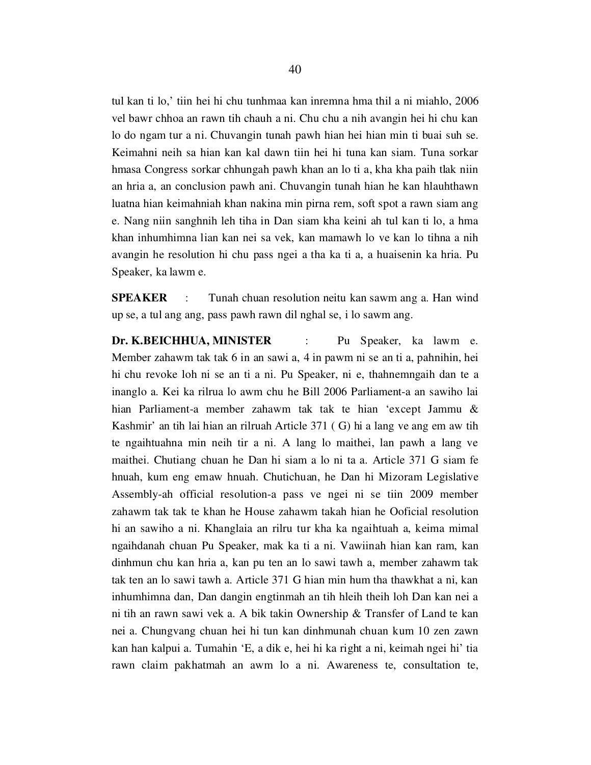tul kan ti lo,' tiin hei hi chu tunhmaa kan inremna hma thil a ni miahlo, 2006 vel bawr chhoa an rawn tih chauh a ni. Chu chu a nih avangin hei hi chu kan lo do ngam tur a ni. Chuvangin tunah pawh hian hei hian min ti buai suh se. Keimahni neih sa hian kan kal dawn tiin hei hi tuna kan siam. Tuna sorkar hmasa Congress sorkar chhungah pawh khan an lo ti a, kha kha paih tlak niin an hria a, an conclusion pawh ani. Chuvangin tunah hian he kan hlauhthawn luatna hian keimahniah khan nakina min pirna rem, soft spot a rawn siam ang e. Nang niin sanghnih leh tiha in Dan siam kha keini ah tul kan ti lo, a hma khan inhumhimna lian kan nei sa vek, kan mamawh lo ve kan lo tihna a nih avangin he resolution hi chu pass ngei a tha ka ti a, a huaisenin ka hria. Pu Speaker, ka lawm e.

SPEAKER : Tunah chuan resolution neitu kan sawm ang a. Han wind up se, a tul ang ang, pass pawh rawn dil nghal se, i lo sawm ang.

Dr. K.BEICHHUA, MINISTER : Pu Speaker, ka lawm e. Member zahawm tak tak 6 in an sawi a, 4 in pawm ni se an ti a, pahnihin, hei hi chu revoke loh ni se an ti a ni. Pu Speaker, ni e, thahnemngaih dan te a inanglo a. Kei ka rilrua lo awm chu he Bill 2006 Parliament-a an sawiho lai hian Parliament-a member zahawm tak tak te hian 'except Jammu & Kashmir' an tih lai hian an rilruah Article 371 ( G) hi a lang ve ang em aw tih te ngaihtuahna min neih tir a ni. A lang lo maithei, lan pawh a lang ve maithei. Chutiang chuan he Dan hi siam a lo ni ta a. Article 371 G siam fe hnuah, kum eng emaw hnuah. Chutichuan, he Dan hi Mizoram Legislative Assembly-ah official resolution-a pass ve ngei ni se tiin 2009 member zahawm tak tak te khan he House zahawm takah hian he Ooficial resolution hi an sawiho a ni. Khanglaia an rilru tur kha ka ngaihtuah a, keima mimal ngaihdanah chuan Pu Speaker, mak ka ti a ni. Vawiinah hian kan ram, kan dinhmun chu kan hria a, kan pu ten an lo sawi tawh a, member zahawm tak tak ten an lo sawi tawh a. Article 371 G hian min hum tha thawkhat a ni, kan inhumhimna dan, Dan dangin engtinmah an tih hleih theih loh Dan kan nei a ni tih an rawn sawi vek a. A bik takin Ownership & Transfer of Land te kan nei a. Chungvang chuan hei hi tun kan dinhmunah chuan kum 10 zen zawn kan han kalpui a. Tumahin 'E, a dik e, hei hi ka right a ni, keimah ngei hi' tia rawn claim pakhatmah an awm lo a ni. Awareness te, consultation te,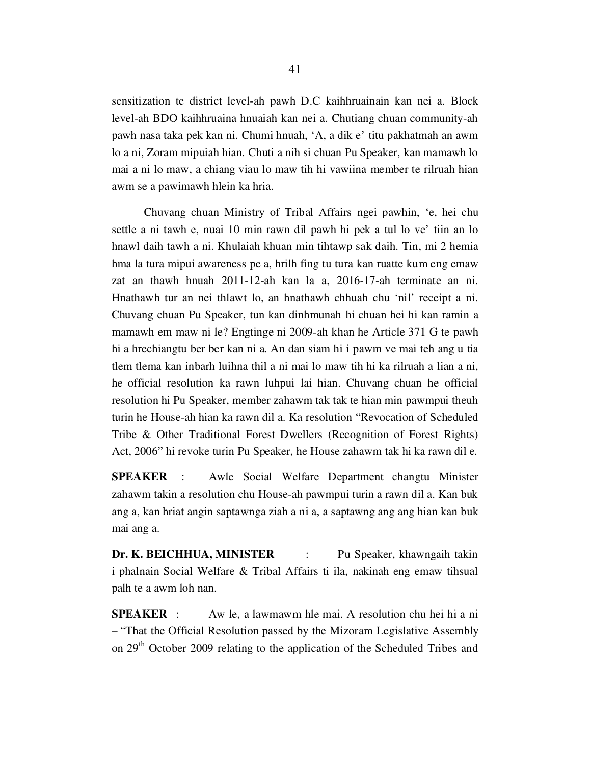sensitization te district level-ah pawh D.C kaihhruainain kan nei a. Block level-ah BDO kaihhruaina hnuaiah kan nei a. Chutiang chuan community-ah pawh nasa taka pek kan ni. Chumi hnuah, 'A, a dik e' titu pakhatmah an awm lo a ni, Zoram mipuiah hian. Chuti a nih si chuan Pu Speaker, kan mamawh lo mai a ni lo maw, a chiang viau lo maw tih hi vawiina member te rilruah hian awm se a pawimawh hlein ka hria.

 Chuvang chuan Ministry of Tribal Affairs ngei pawhin, 'e, hei chu settle a ni tawh e, nuai 10 min rawn dil pawh hi pek a tul lo ve' tiin an lo hnawl daih tawh a ni. Khulaiah khuan min tihtawp sak daih. Tin, mi 2 hemia hma la tura mipui awareness pe a, hrilh fing tu tura kan ruatte kum eng emaw zat an thawh hnuah 2011-12-ah kan la a, 2016-17-ah terminate an ni. Hnathawh tur an nei thlawt lo, an hnathawh chhuah chu 'nil' receipt a ni. Chuvang chuan Pu Speaker, tun kan dinhmunah hi chuan hei hi kan ramin a mamawh em maw ni le? Engtinge ni 2009-ah khan he Article 371 G te pawh hi a hrechiangtu ber ber kan ni a. An dan siam hi i pawm ve mai teh ang u tia tlem tlema kan inbarh luihna thil a ni mai lo maw tih hi ka rilruah a lian a ni, he official resolution ka rawn luhpui lai hian. Chuvang chuan he official resolution hi Pu Speaker, member zahawm tak tak te hian min pawmpui theuh turin he House-ah hian ka rawn dil a. Ka resolution "Revocation of Scheduled Tribe & Other Traditional Forest Dwellers (Recognition of Forest Rights) Act, 2006" hi revoke turin Pu Speaker, he House zahawm tak hi ka rawn dil e.

SPEAKER : Awle Social Welfare Department changtu Minister zahawm takin a resolution chu House-ah pawmpui turin a rawn dil a. Kan buk ang a, kan hriat angin saptawnga ziah a ni a, a saptawng ang ang hian kan buk mai ang a.

Dr. K. BEICHHUA, MINISTER : Pu Speaker, khawngaih takin i phalnain Social Welfare & Tribal Affairs ti ila, nakinah eng emaw tihsual palh te a awm loh nan.

SPEAKER : Aw le, a lawmawm hle mai. A resolution chu hei hi a ni – "That the Official Resolution passed by the Mizoram Legislative Assembly on 29<sup>th</sup> October 2009 relating to the application of the Scheduled Tribes and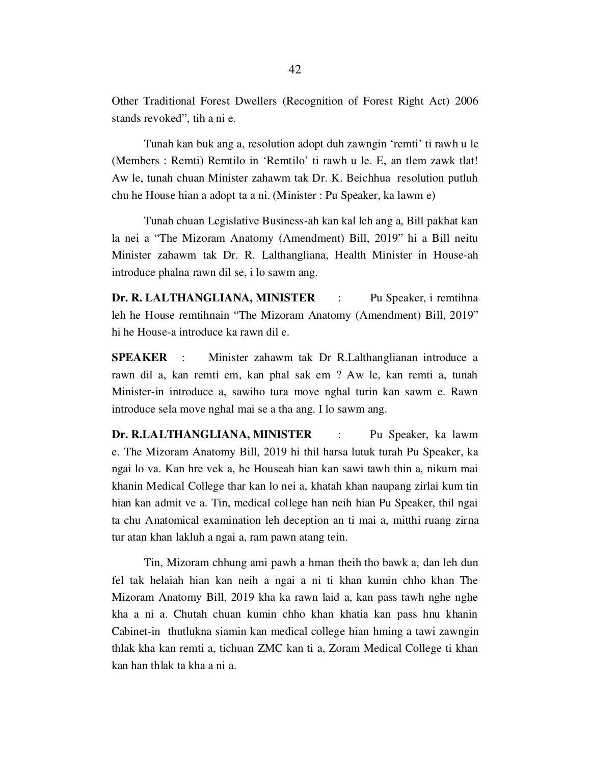Other Traditional Forest Dwellers (Recognition of Forest Right Act) 2006 stands revoked", tih a ni e.

 Tunah kan buk ang a, resolution adopt duh zawngin 'remti' ti rawh u le (Members : Remti) Remtilo in 'Remtilo' ti rawh u le. E, an tlem zawk tlat! Aw le, tunah chuan Minister zahawm tak Dr. K. Beichhua resolution putluh chu he House hian a adopt ta a ni. (Minister : Pu Speaker, ka lawm e)

 Tunah chuan Legislative Business-ah kan kal leh ang a, Bill pakhat kan la nei a "The Mizoram Anatomy (Amendment) Bill, 2019" hi a Bill neitu Minister zahawm tak Dr. R. Lalthangliana, Health Minister in House-ah introduce phalna rawn dil se, i lo sawm ang.

Dr. R. LALTHANGLIANA, MINISTER : Pu Speaker, i remtihna leh he House remtihnain "The Mizoram Anatomy (Amendment) Bill, 2019" hi he House-a introduce ka rawn dil e.

SPEAKER : Minister zahawm tak Dr R.Lalthanglianan introduce a rawn dil a, kan remti em, kan phal sak em ? Aw le, kan remti a, tunah Minister-in introduce a, sawiho tura move nghal turin kan sawm e. Rawn introduce sela move nghal mai se a tha ang. I lo sawm ang.

Dr. R.LALTHANGLIANA, MINISTER : Pu Speaker, ka lawm e. The Mizoram Anatomy Bill, 2019 hi thil harsa lutuk turah Pu Speaker, ka ngai lo va. Kan hre vek a, he Houseah hian kan sawi tawh thin a, nikum mai khanin Medical College thar kan lo nei a, khatah khan naupang zirlai kum tin hian kan admit ve a. Tin, medical college han neih hian Pu Speaker, thil ngai ta chu Anatomical examination leh deception an ti mai a, mitthi ruang zirna tur atan khan lakluh a ngai a, ram pawn atang tein.

 Tin, Mizoram chhung ami pawh a hman theih tho bawk a, dan leh dun fel tak helaiah hian kan neih a ngai a ni ti khan kumin chho khan The Mizoram Anatomy Bill, 2019 kha ka rawn laid a, kan pass tawh nghe nghe kha a ni a. Chutah chuan kumin chho khan khatia kan pass hnu khanin Cabinet-in thutlukna siamin kan medical college hian hming a tawi zawngin thlak kha kan remti a, tichuan ZMC kan ti a, Zoram Medical College ti khan kan han thlak ta kha a ni a.